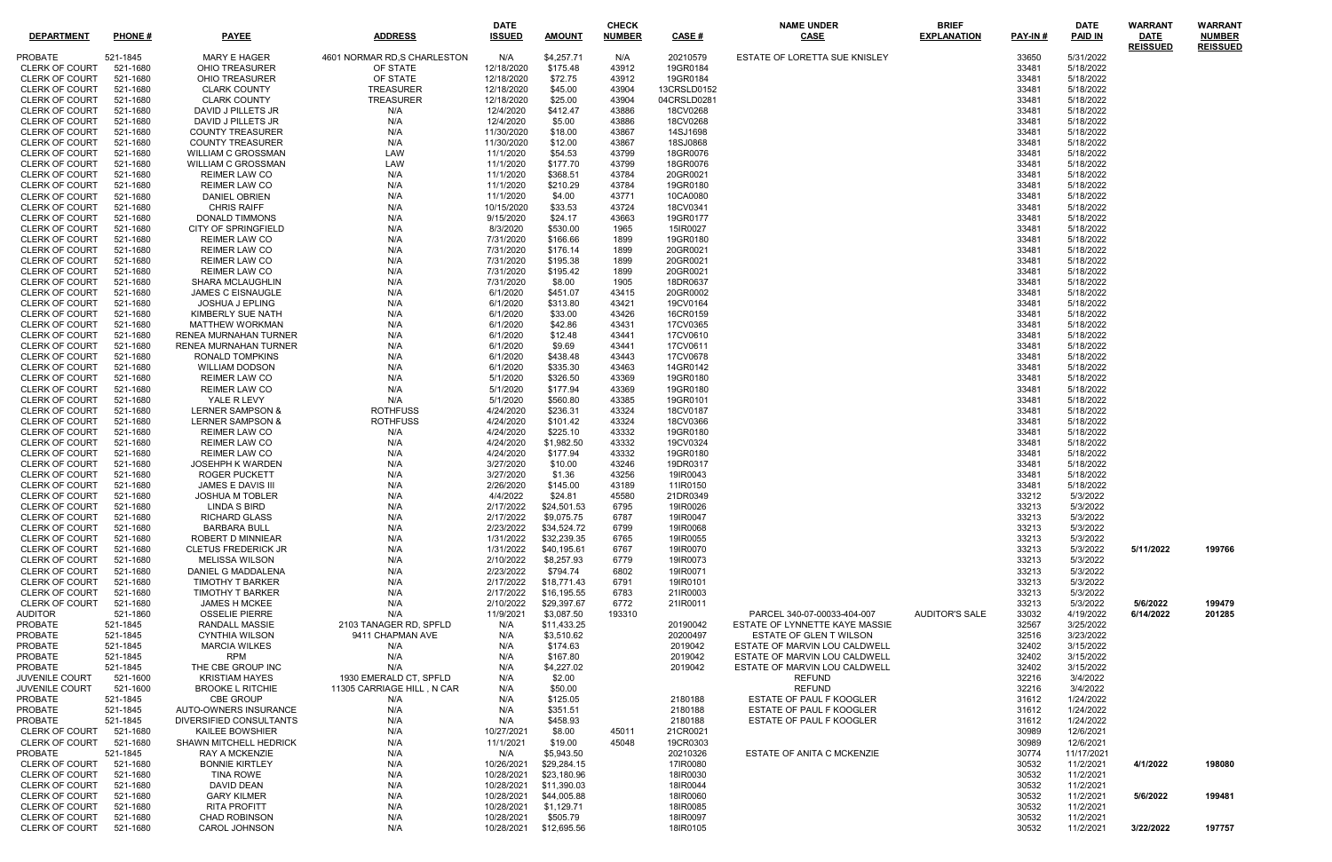| <b>DEPARTMENT</b>                              | <b>PHONE#</b>        | <b>PAYEE</b>                                        | <b>ADDRESS</b>               | <b>DATE</b><br><b>ISSUED</b> | <b>AMOUNT</b>              | <b>CHECK</b><br><b>NUMBER</b> | CASE #               | <b>NAME UNDER</b><br><b>CASE</b> | <b>BRIEF</b><br><b>EXPLANATION</b> | PAY-IN#        | <b>DATE</b><br><b>PAID IN</b> | <b>WARRANT</b><br><b>DATE</b> | <b>WARRANT</b><br><b>NUMBER</b> |
|------------------------------------------------|----------------------|-----------------------------------------------------|------------------------------|------------------------------|----------------------------|-------------------------------|----------------------|----------------------------------|------------------------------------|----------------|-------------------------------|-------------------------------|---------------------------------|
| PROBATE                                        | 521-1845             | MARY E HAGER                                        | 4601 NORMAR RD, S CHARLESTON | N/A                          | \$4,257.71                 | N/A                           | 20210579             | ESTATE OF LORETTA SUE KNISLEY    |                                    | 33650          | 5/31/2022                     | <b>REISSUED</b>               | <b>REISSUED</b>                 |
| <b>CLERK OF COURT</b>                          | 521-1680             | <b>OHIO TREASURER</b>                               | OF STATE                     | 12/18/2020                   | \$175.48                   | 43912                         | 19GR0184             |                                  |                                    | 33481          | 5/18/2022                     |                               |                                 |
| <b>CLERK OF COURT</b>                          | 521-1680             | OHIO TREASURER                                      | OF STATE                     | 12/18/2020                   | \$72.75                    | 43912                         | 19GR0184             |                                  |                                    | 33481          | 5/18/2022                     |                               |                                 |
| <b>CLERK OF COURT</b>                          | 521-1680             | <b>CLARK COUNTY</b>                                 | <b>TREASURER</b>             | 12/18/2020                   | \$45.00                    | 43904                         | 13CRSLD0152          |                                  |                                    | 33481          | 5/18/2022                     |                               |                                 |
| <b>CLERK OF COURT</b>                          | 521-1680             | <b>CLARK COUNTY</b>                                 | <b>TREASURER</b>             | 12/18/2020                   | \$25.00                    | 43904                         | 04CRSLD0281          |                                  |                                    | 33481          | 5/18/2022                     |                               |                                 |
| CLERK OF COURT                                 | 521-1680             | DAVID J PILLETS JR                                  | N/A                          | 12/4/2020                    | \$412.47                   | 43886                         | 18CV0268             |                                  |                                    | 33481          | 5/18/2022                     |                               |                                 |
| <b>CLERK OF COURT</b>                          | 521-1680             | DAVID J PILLETS JR                                  | N/A                          | 12/4/2020                    | \$5.00                     | 43886                         | 18CV0268             |                                  |                                    | 33481          | 5/18/2022                     |                               |                                 |
| <b>CLERK OF COURT</b>                          | 521-1680             | <b>COUNTY TREASURER</b>                             | N/A                          | 11/30/2020                   | \$18.00                    | 43867                         | 14SJ1698             |                                  |                                    | 33481          | 5/18/2022                     |                               |                                 |
| <b>CLERK OF COURT</b>                          | 521-1680             | <b>COUNTY TREASURER</b>                             | N/A                          | 11/30/2020                   | \$12.00                    | 43867                         | 18SJ0868             |                                  |                                    | 33481          | 5/18/2022                     |                               |                                 |
| <b>CLERK OF COURT</b>                          | 521-1680             | <b>WILLIAM C GROSSMAN</b>                           | LAW                          | 11/1/2020                    | \$54.53                    | 43799                         | 18GR0076             |                                  |                                    | 33481          | 5/18/2022                     |                               |                                 |
| <b>CLERK OF COURT</b>                          | 521-1680             | <b>WILLIAM C GROSSMAN</b>                           | LAW                          | 11/1/2020                    | \$177.70                   | 43799                         | 18GR0076             |                                  |                                    | 33481          | 5/18/2022                     |                               |                                 |
| <b>CLERK OF COURT</b>                          | 521-1680             | REIMER LAW CO                                       | N/A                          | 11/1/2020                    | \$368.51                   | 43784                         | 20GR0021             |                                  |                                    | 33481          | 5/18/2022                     |                               |                                 |
| <b>CLERK OF COURT</b>                          | 521-1680             | <b>REIMER LAW CO</b>                                | N/A                          | 11/1/2020                    | \$210.29                   | 43784                         | 19GR0180             |                                  |                                    | 33481          | 5/18/2022                     |                               |                                 |
| <b>CLERK OF COURT</b>                          | 521-1680             | DANIEL OBRIEN                                       | N/A                          | 11/1/2020                    | \$4.00                     | 43771                         | 10CA0080             |                                  |                                    | 33481          | 5/18/2022                     |                               |                                 |
| <b>CLERK OF COURT</b>                          | 521-1680             | <b>CHRIS RAIFF</b>                                  | N/A                          | 10/15/2020                   | \$33.53                    | 43724                         | 18CV0341             |                                  |                                    | 33481          | 5/18/2022                     |                               |                                 |
| <b>CLERK OF COURT</b>                          | 521-1680             | DONALD TIMMONS                                      | N/A                          | 9/15/2020                    | \$24.17                    | 43663                         | 19GR0177             |                                  |                                    | 33481          | 5/18/2022                     |                               |                                 |
| <b>CLERK OF COURT</b>                          | 521-1680             | CITY OF SPRINGFIELD                                 | N/A                          | 8/3/2020                     | \$530.00                   | 1965                          | 15IR0027             |                                  |                                    | 33481          | 5/18/2022                     |                               |                                 |
| <b>CLERK OF COURT</b>                          | 521-1680             | <b>REIMER LAW CO</b>                                | N/A                          | 7/31/2020                    | \$166.66                   | 1899                          | 19GR0180             |                                  |                                    | 33481          | 5/18/2022                     |                               |                                 |
| <b>CLERK OF COURT</b>                          | 521-1680             | REIMER LAW CO                                       | N/A                          | 7/31/2020                    | \$176.14                   | 1899                          | 20GR0021             |                                  |                                    | 33481          | 5/18/2022                     |                               |                                 |
| <b>CLERK OF COURT</b><br><b>CLERK OF COURT</b> | 521-1680             | <b>REIMER LAW CO</b><br><b>REIMER LAW CO</b>        | N/A<br>N/A                   | 7/31/2020                    | \$195.38                   | 1899                          | 20GR0021             |                                  |                                    | 33481          | 5/18/2022                     |                               |                                 |
| <b>CLERK OF COURT</b>                          | 521-1680<br>521-1680 |                                                     |                              | 7/31/2020<br>7/31/2020       | \$195.42                   | 1899                          | 20GR0021             |                                  |                                    | 33481          | 5/18/2022<br>5/18/2022        |                               |                                 |
| <b>CLERK OF COURT</b>                          | 521-1680             | <b>SHARA MCLAUGHLIN</b><br><b>JAMES C EISNAUGLE</b> | N/A<br>N/A                   | 6/1/2020                     | \$8.00<br>\$451.07         | 1905<br>43415                 | 18DR0637<br>20GR0002 |                                  |                                    | 33481<br>33481 | 5/18/2022                     |                               |                                 |
| <b>CLERK OF COURT</b>                          | 521-1680             | JOSHUA J EPLING                                     | N/A                          | 6/1/2020                     | \$313.80                   | 43421                         | 19CV0164             |                                  |                                    | 33481          | 5/18/2022                     |                               |                                 |
| <b>CLERK OF COURT</b>                          | 521-1680             | KIMBERLY SUE NATH                                   | N/A                          | 6/1/2020                     | \$33.00                    | 43426                         | 16CR0159             |                                  |                                    | 33481          | 5/18/2022                     |                               |                                 |
| <b>CLERK OF COURT</b>                          | 521-1680             | <b>MATTHEW WORKMAN</b>                              | N/A                          | 6/1/2020                     | \$42.86                    | 43431                         | 17CV0365             |                                  |                                    | 33481          | 5/18/2022                     |                               |                                 |
| <b>CLERK OF COURT</b>                          | 521-1680             | RENEA MURNAHAN TURNER                               | N/A                          | 6/1/2020                     | \$12.48                    | 43441                         | 17CV0610             |                                  |                                    | 33481          | 5/18/2022                     |                               |                                 |
| <b>CLERK OF COURT</b>                          | 521-1680             | RENEA MURNAHAN TURNER                               | N/A                          | 6/1/2020                     | \$9.69                     | 43441                         | 17CV0611             |                                  |                                    | 33481          | 5/18/2022                     |                               |                                 |
| <b>CLERK OF COURT</b>                          | 521-1680             | <b>RONALD TOMPKINS</b>                              | N/A                          | 6/1/2020                     | \$438.48                   | 43443                         | 17CV0678             |                                  |                                    | 33481          | 5/18/2022                     |                               |                                 |
| <b>CLERK OF COURT</b>                          | 521-1680             | <b>WILLIAM DODSON</b>                               | N/A                          | 6/1/2020                     | \$335.30                   | 43463                         | 14GR0142             |                                  |                                    | 33481          | 5/18/2022                     |                               |                                 |
| <b>CLERK OF COURT</b>                          | 521-1680             | REIMER LAW CO                                       | N/A                          | 5/1/2020                     | \$326.50                   | 43369                         | 19GR0180             |                                  |                                    | 33481          | 5/18/2022                     |                               |                                 |
| <b>CLERK OF COURT</b>                          | 521-1680             | REIMER LAW CO                                       | N/A                          | 5/1/2020                     | \$177.94                   | 43369                         | 19GR0180             |                                  |                                    | 33481          | 5/18/2022                     |                               |                                 |
| <b>CLERK OF COURT</b>                          | 521-1680             | YALE R LEVY                                         | N/A                          | 5/1/2020                     | \$560.80                   | 43385                         | 19GR0101             |                                  |                                    | 33481          | 5/18/2022                     |                               |                                 |
| CLERK OF COURT                                 | 521-1680             | <b>LERNER SAMPSON &amp;</b>                         | <b>ROTHFUSS</b>              | 4/24/2020                    | \$236.31                   | 43324                         | 18CV0187             |                                  |                                    | 33481          | 5/18/2022                     |                               |                                 |
| <b>CLERK OF COURT</b>                          | 521-1680             | <b>LERNER SAMPSON &amp;</b>                         | <b>ROTHFUSS</b>              | 4/24/2020                    | \$101.42                   | 43324                         | 18CV0366             |                                  |                                    | 33481          | 5/18/2022                     |                               |                                 |
| <b>CLERK OF COURT</b>                          | 521-1680             | <b>REIMER LAW CO</b>                                | N/A                          | 4/24/2020                    | \$225.10                   | 43332                         | 19GR0180             |                                  |                                    | 33481          | 5/18/2022                     |                               |                                 |
| <b>CLERK OF COURT</b>                          | 521-1680             | REIMER LAW CO                                       | N/A                          | 4/24/2020                    | \$1,982.50                 | 43332                         | 19CV0324             |                                  |                                    | 33481          | 5/18/2022                     |                               |                                 |
| <b>CLERK OF COURT</b>                          | 521-1680             | <b>REIMER LAW CO</b>                                | N/A                          | 4/24/2020                    | \$177.94                   | 43332                         | 19GR0180             |                                  |                                    | 33481          | 5/18/2022                     |                               |                                 |
| CLERK OF COURT                                 | 521-1680             | <b>JOSEHPH K WARDEN</b>                             | N/A                          | 3/27/2020                    | \$10.00                    | 43246                         | 19DR0317             |                                  |                                    | 33481          | 5/18/2022                     |                               |                                 |
| <b>CLERK OF COURT</b>                          | 521-1680             | ROGER PUCKETT                                       | N/A                          | 3/27/2020                    | \$1.36                     | 43256                         | 19IR0043             |                                  |                                    | 33481          | 5/18/2022                     |                               |                                 |
| <b>CLERK OF COURT</b>                          | 521-1680             | <b>JAMES E DAVIS III</b>                            | N/A                          | 2/26/2020                    | \$145.00                   | 43189                         | 11IR0150             |                                  |                                    | 33481          | 5/18/2022                     |                               |                                 |
| <b>CLERK OF COURT</b>                          | 521-1680             | <b>JOSHUA M TOBLER</b>                              | N/A                          | 4/4/2022                     | \$24.81                    | 45580                         | 21DR0349             |                                  |                                    | 33212          | 5/3/2022                      |                               |                                 |
| CLERK OF COURT 521-1680                        |                      | LINDA S BIRD                                        | N/A                          | 2/17/2022                    | \$24,501.53                | 6795                          | 19IR0026             |                                  |                                    | 33213          | 5/3/2022                      |                               |                                 |
| <b>CLERK OF COURT</b>                          | 521-1680             | <b>RICHARD GLASS</b>                                | N/A                          | 2/17/2022                    | \$9,075.75                 | 6787                          | 19IR0047             |                                  |                                    | 33213          | 5/3/2022                      |                               |                                 |
| <b>CLERK OF COURT</b>                          | 521-1680             | <b>BARBARA BULL</b>                                 | N/A                          | 2/23/2022                    | \$34,524.72                | 6799                          | 19IR0068             |                                  |                                    | 33213          | 5/3/2022                      |                               |                                 |
| <b>CLERK OF COURT</b>                          | 521-1680             | <b>ROBERT D MINNIEAR</b>                            | N/A                          | 1/31/2022                    | \$32,239.35                | 6765                          | 19IR0055             |                                  |                                    | 33213          | 5/3/2022                      |                               |                                 |
| <b>CLERK OF COURT</b>                          | 521-1680             | <b>CLETUS FREDERICK JR</b>                          | N/A                          | 1/31/2022                    | \$40,195.61                | 6767                          | 19IR0070             |                                  |                                    | 33213          | 5/3/2022                      | 5/11/2022                     | 199766                          |
| CLERK OF COURT                                 | 521-1680             | MELISSA WILSON                                      | N/A                          | 2/10/2022                    | \$8,257.93                 | 6779                          | 19IR0073             |                                  |                                    | 33213          | 5/3/2022                      |                               |                                 |
| <b>CLERK OF COURT</b>                          | 521-1680             | DANIEL G MADDALENA<br><b>TIMOTHY T BARKER</b>       | N/A                          | 2/23/2022                    | \$794.74                   | 6802                          | 19IR0071             |                                  |                                    | 33213          | 5/3/2022                      |                               |                                 |
| <b>CLERK OF COURT</b><br><b>CLERK OF COURT</b> | 521-1680<br>521-1680 | <b>TIMOTHY T BARKER</b>                             | N/A<br>N/A                   | 2/17/2022<br>2/17/2022       | \$18,771.43<br>\$16,195.55 | 6791<br>6783                  | 19IR0101<br>21IR0003 |                                  |                                    | 33213<br>33213 | 5/3/2022<br>5/3/2022          |                               |                                 |
| <b>CLERK OF COURT</b>                          | 521-1680             | <b>JAMES H MCKEE</b>                                | N/A                          | 2/10/2022                    | \$29,397.67                | 6772                          | 21IR0011             |                                  |                                    | 33213          | 5/3/2022                      | 5/6/2022                      | 199479                          |
| <b>AUDITOR</b>                                 | 521-1860             | <b>OSSELIE PIERRE</b>                               | N/A                          | 11/9/2021                    | \$3,087.50                 | 193310                        |                      | PARCEL 340-07-00033-404-007      | <b>AUDITOR'S SALE</b>              | 33032          | 4/19/2022                     | 6/14/2022                     | 201285                          |
| PROBATE                                        | 521-1845             | <b>RANDALL MASSIE</b>                               | 2103 TANAGER RD, SPFLD       | N/A                          | \$11,433.25                |                               | 20190042             | ESTATE OF LYNNETTE KAYE MASSIE   |                                    | 32567          | 3/25/2022                     |                               |                                 |
| PROBATE                                        | 521-1845             | <b>CYNTHIA WILSON</b>                               | 9411 CHAPMAN AVE             | N/A                          | \$3,510.62                 |                               | 20200497             | <b>ESTATE OF GLEN T WILSON</b>   |                                    | 32516          | 3/23/2022                     |                               |                                 |
| PROBATE                                        | 521-1845             | <b>MARCIA WILKES</b>                                | N/A                          | N/A                          | \$174.63                   |                               | 2019042              | ESTATE OF MARVIN LOU CALDWELL    |                                    | 32402          | 3/15/2022                     |                               |                                 |
| PROBATE                                        | 521-1845             | <b>RPM</b>                                          | N/A                          | N/A                          | \$167.80                   |                               | 2019042              | ESTATE OF MARVIN LOU CALDWELL    |                                    | 32402          | 3/15/2022                     |                               |                                 |
| PROBATE                                        | 521-1845             | THE CBE GROUP INC                                   | N/A                          | N/A                          | \$4,227.02                 |                               | 2019042              | ESTATE OF MARVIN LOU CALDWELL    |                                    | 32402          | 3/15/2022                     |                               |                                 |
| <b>JUVENILE COURT</b>                          | 521-1600             | <b>KRISTIAM HAYES</b>                               | 1930 EMERALD CT, SPFLD       | N/A                          | \$2.00                     |                               |                      | <b>REFUND</b>                    |                                    | 32216          | 3/4/2022                      |                               |                                 |
| JUVENILE COURT                                 | 521-1600             | <b>BROOKE L RITCHIE</b>                             | 11305 CARRIAGE HILL, N CAR   | N/A                          | \$50.00                    |                               |                      | <b>REFUND</b>                    |                                    | 32216          | 3/4/2022                      |                               |                                 |
| PROBATE                                        | 521-1845             | <b>CBE GROUP</b>                                    | N/A                          | N/A                          | \$125.05                   |                               | 2180188              | ESTATE OF PAUL F KOOGLER         |                                    | 31612          | 1/24/2022                     |                               |                                 |
| PROBATE                                        | 521-1845             | AUTO-OWNERS INSURANCE                               | N/A                          | N/A                          | \$351.51                   |                               | 2180188              | ESTATE OF PAUL F KOOGLER         |                                    | 31612          | 1/24/2022                     |                               |                                 |
| <b>PROBATE</b>                                 | 521-1845             | DIVERSIFIED CONSULTANTS                             | N/A                          | N/A                          | \$458.93                   |                               | 2180188              | ESTATE OF PAUL F KOOGLER         |                                    | 31612          | 1/24/2022                     |                               |                                 |
| <b>CLERK OF COURT</b>                          | 521-1680             | KAILEE BOWSHIER                                     | N/A                          | 10/27/2021                   | \$8.00                     | 45011                         | 21CR0021             |                                  |                                    | 30989          | 12/6/2021                     |                               |                                 |
| CLERK OF COURT                                 | 521-1680             | SHAWN MITCHELL HEDRICK                              | N/A                          | 11/1/2021                    | \$19.00                    | 45048                         | 19CR0303             |                                  |                                    | 30989          | 12/6/2021                     |                               |                                 |
| <b>PROBATE</b>                                 | 521-1845             | <b>RAY A MCKENZIE</b>                               | N/A                          | N/A                          | \$5,943.50                 |                               | 20210326             | ESTATE OF ANITA C MCKENZIE       |                                    | 30774          | 11/17/2021                    |                               |                                 |
| <b>CLERK OF COURT</b>                          | 521-1680             | <b>BONNIE KIRTLEY</b>                               | N/A                          | 10/26/2021                   | \$29,284.15                |                               | 17IR0080             |                                  |                                    | 30532          | 11/2/2021                     | 4/1/2022                      | 198080                          |
| CLERK OF COURT                                 | 521-1680             | <b>TINA ROWE</b>                                    | N/A                          | 10/28/2021                   | \$23,180.96                |                               | 18IR0030             |                                  |                                    | 30532          | 11/2/2021                     |                               |                                 |
| <b>CLERK OF COURT</b>                          | 521-1680             | DAVID DEAN                                          | N/A                          | 10/28/2021                   | \$11,390.03                |                               | 18IR0044             |                                  |                                    | 30532          | 11/2/2021                     |                               |                                 |
| CLERK OF COURT                                 | 521-1680             | <b>GARY KILMER</b>                                  | N/A                          | 10/28/2021                   | \$44,005.88                |                               | 18IR0060             |                                  |                                    | 30532          | 11/2/2021                     | 5/6/2022                      | 199481                          |
| CLERK OF COURT                                 | 521-1680             | <b>RITA PROFITT</b>                                 | N/A                          | 10/28/2021                   | \$1,129.71                 |                               | 18IR0085             |                                  |                                    | 30532          | 11/2/2021                     |                               |                                 |
| <b>CLERK OF COURT</b>                          | 521-1680             | <b>CHAD ROBINSON</b>                                | N/A                          | 10/28/2021                   | \$505.79                   |                               | 18IR0097             |                                  |                                    | 30532          | 11/2/2021                     |                               |                                 |
| CLERK OF COURT                                 | 521-1680             | <b>CAROL JOHNSON</b>                                | N/A                          | 10/28/2021                   | \$12,695.56                |                               | 18IR0105             |                                  |                                    | 30532          | 11/2/2021                     | 3/22/2022                     | 197757                          |

| PAY-IN#        | DATE<br><b>PAID IN</b> | <b>WARRANT</b><br><b>DATE</b><br><b>REISSUED</b> | WARRANT<br><b>NUMBER</b><br><b>REISSUED</b> |
|----------------|------------------------|--------------------------------------------------|---------------------------------------------|
| 33650          | 5/31/2022              |                                                  |                                             |
| 33481          | 5/18/2022              |                                                  |                                             |
| 33481          | 5/18/2022              |                                                  |                                             |
| 33481          | 5/18/2022              |                                                  |                                             |
| 33481          | 5/18/2022              |                                                  |                                             |
| 33481<br>33481 | 5/18/2022<br>5/18/2022 |                                                  |                                             |
| 33481          | 5/18/2022              |                                                  |                                             |
| 33481          | 5/18/2022              |                                                  |                                             |
| 33481          | 5/18/2022              |                                                  |                                             |
| 33481          | 5/18/2022              |                                                  |                                             |
| 33481          | 5/18/2022              |                                                  |                                             |
| 33481<br>33481 | 5/18/2022<br>5/18/2022 |                                                  |                                             |
| 33481          | 5/18/2022              |                                                  |                                             |
| 33481          | 5/18/2022              |                                                  |                                             |
| 33481          | 5/18/2022              |                                                  |                                             |
| 33481          | 5/18/2022              |                                                  |                                             |
| 33481          | 5/18/2022              |                                                  |                                             |
| 33481          | 5/18/2022              |                                                  |                                             |
| 33481<br>33481 | 5/18/2022<br>5/18/2022 |                                                  |                                             |
| 33481          | 5/18/2022              |                                                  |                                             |
| 33481          | 5/18/2022              |                                                  |                                             |
| 33481          | 5/18/2022              |                                                  |                                             |
| 33481          | 5/18/2022              |                                                  |                                             |
| 33481          | 5/18/2022              |                                                  |                                             |
| 33481          | 5/18/2022              |                                                  |                                             |
| 33481<br>33481 | 5/18/2022<br>5/18/2022 |                                                  |                                             |
| 33481          | 5/18/2022              |                                                  |                                             |
| 33481          | 5/18/2022              |                                                  |                                             |
| 33481          | 5/18/2022              |                                                  |                                             |
| 33481          | 5/18/2022              |                                                  |                                             |
| 33481          | 5/18/2022              |                                                  |                                             |
| 33481<br>33481 | 5/18/2022<br>5/18/2022 |                                                  |                                             |
| 33481          | 5/18/2022              |                                                  |                                             |
| 33481          | 5/18/2022              |                                                  |                                             |
| 33481          | 5/18/2022              |                                                  |                                             |
| 33481          | 5/18/2022              |                                                  |                                             |
| 33212          | 5/3/2022               |                                                  |                                             |
| 33213<br>33213 | 5/3/2022               |                                                  |                                             |
| 33213          | 5/3/2022<br>5/3/2022   |                                                  |                                             |
| 33213          | 5/3/2022               |                                                  |                                             |
| 33213          | 5/3/2022               | 5/11/2022                                        | 199766                                      |
| 33213          | 5/3/2022               |                                                  |                                             |
| 33213          | 5/3/2022               |                                                  |                                             |
| 33213          | 5/3/2022               |                                                  |                                             |
| 33213<br>33213 | 5/3/2022               |                                                  |                                             |
| 33032          | 5/3/2022<br>4/19/2022  | 5/6/2022<br>6/14/2022                            | 199479<br>201285                            |
| 32567          | 3/25/2022              |                                                  |                                             |
| 32516          | 3/23/2022              |                                                  |                                             |
| 32402          | 3/15/2022              |                                                  |                                             |
| 32402          | 3/15/2022              |                                                  |                                             |
| 32402          | 3/15/2022              |                                                  |                                             |
| 32216<br>32216 | 3/4/2022<br>3/4/2022   |                                                  |                                             |
| 31612          | 1/24/2022              |                                                  |                                             |
| 31612          | 1/24/2022              |                                                  |                                             |
| 31612          | 1/24/2022              |                                                  |                                             |
| 30989          | 12/6/2021              |                                                  |                                             |
| 30989          | 12/6/2021              |                                                  |                                             |
| 30774          | 11/17/2021             |                                                  |                                             |
| 30532<br>30532 | 11/2/2021<br>11/2/2021 | 4/1/2022                                         | 198080                                      |
| 30532          | 11/2/2021              |                                                  |                                             |
| 30532          | 11/2/2021              | 5/6/2022                                         | 199481                                      |
| 30532          | 11/2/2021              |                                                  |                                             |
| 30532          | 11/2/2021              |                                                  |                                             |
| 30532          | 11/2/2021              | 3/22/2022                                        | 197757                                      |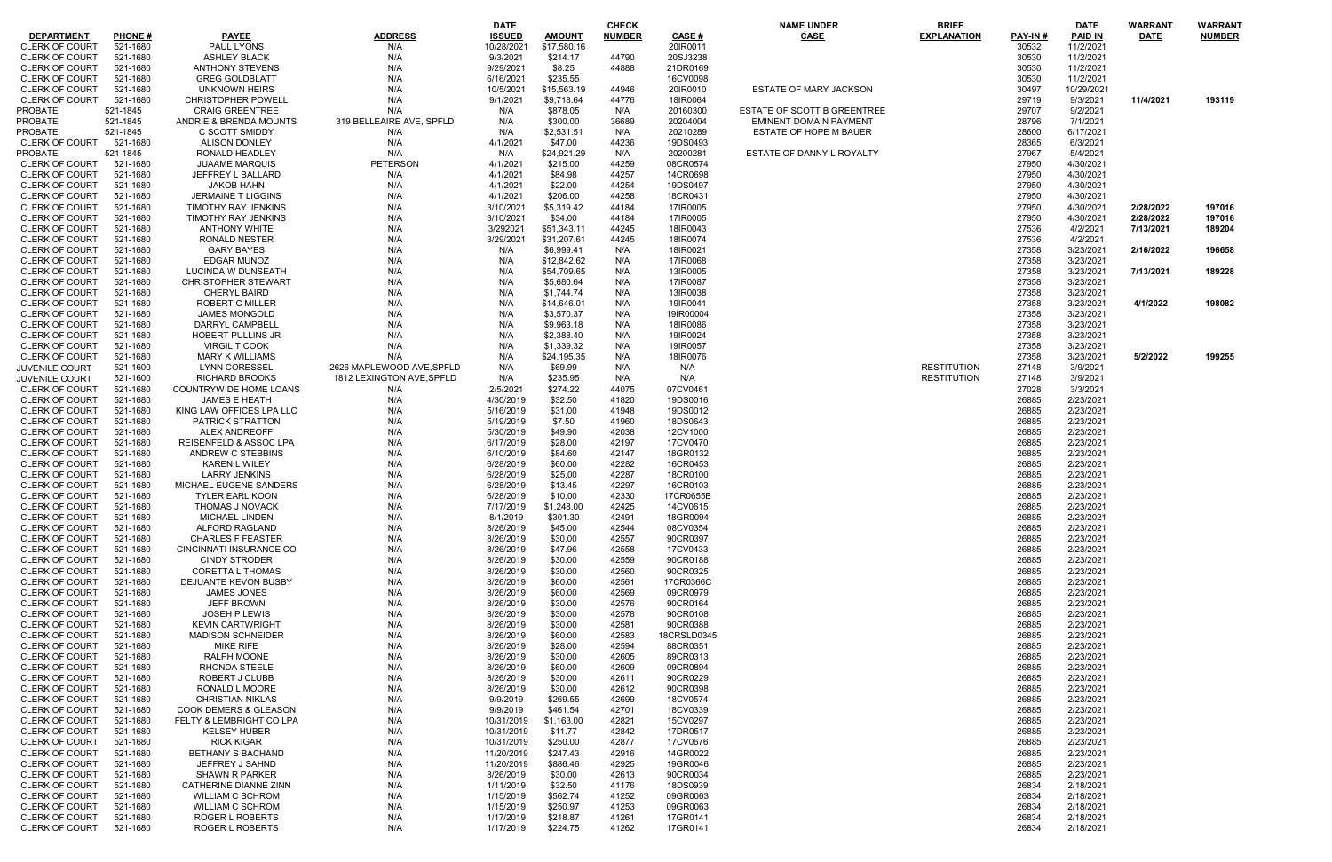|                       |               |                                   |                           | <b>DATE</b>   |               | <b>CHECK</b>  |             | <b>NAME UNDER</b>                  | <b>BRIEF</b>       |                | <b>DATE</b>    | <b>WARRANT</b> | <b>WARRANT</b> |
|-----------------------|---------------|-----------------------------------|---------------------------|---------------|---------------|---------------|-------------|------------------------------------|--------------------|----------------|----------------|----------------|----------------|
| <b>DEPARTMENT</b>     | <b>PHONE#</b> | <b>PAYEE</b>                      | <b>ADDRESS</b>            | <b>ISSUED</b> | <b>AMOUNT</b> | <b>NUMBER</b> | CASE #      | <b>CASE</b>                        | <b>EXPLANATION</b> | <b>PAY-IN#</b> | <b>PAID IN</b> | <b>DATE</b>    | <b>NUMBER</b>  |
|                       |               |                                   |                           |               |               |               |             |                                    |                    |                |                |                |                |
| <b>CLERK OF COURT</b> | 521-1680      | <b>PAUL LYONS</b>                 | N/A                       | 10/28/202     | \$17,580.16   |               | 20IR0011    |                                    |                    | 30532          | 11/2/2021      |                |                |
| <b>CLERK OF COURT</b> | 521-1680      | <b>ASHLEY BLACK</b>               | N/A                       | 9/3/2021      | \$214.17      | 44790         | 20SJ3238    |                                    |                    | 30530          | 11/2/2021      |                |                |
| <b>CLERK OF COURT</b> | 521-1680      | <b>ANTHONY STEVENS</b>            | N/A                       | 9/29/2021     | \$8.25        | 44888         | 21DR0169    |                                    |                    | 30530          | 11/2/2021      |                |                |
| <b>CLERK OF COURT</b> |               |                                   |                           |               |               |               |             |                                    |                    |                |                |                |                |
|                       | 521-1680      | <b>GREG GOLDBLATT</b>             | N/A                       | 6/16/2021     | \$235.55      |               | 16CV0098    |                                    |                    | 30530          | 11/2/2021      |                |                |
| <b>CLERK OF COURT</b> | 521-1680      | UNKNOWN HEIRS                     | N/A                       | 10/5/2021     | \$15,563.19   | 44946         | 20IR0010    | <b>ESTATE OF MARY JACKSON</b>      |                    | 30497          | 10/29/2021     |                |                |
| <b>CLERK OF COURT</b> | 521-1680      | <b>CHRISTOPHER POWELL</b>         | N/A                       | 9/1/2021      | \$9,718.64    | 44776         | 18IR0064    |                                    |                    | 29719          | 9/3/2021       | 11/4/2021      | 193119         |
| PROBATE               | 521-1845      | <b>CRAIG GREENTREE</b>            | N/A                       | N/A           | \$878.05      | N/A           | 20160300    | <b>ESTATE OF SCOTT B GREENTREE</b> |                    | 29707          | 9/2/2021       |                |                |
|                       |               |                                   |                           |               |               |               |             |                                    |                    |                |                |                |                |
| <b>PROBATE</b>        | 521-1845      | ANDRIE & BRENDA MOUNTS            | 319 BELLEAIRE AVE, SPFLD  | N/A           | \$300.00      | 36689         | 20204004    | <b>EMINENT DOMAIN PAYMENT</b>      |                    | 28796          | 7/1/2021       |                |                |
| PROBATE               | 521-1845      | C SCOTT SMIDDY                    | N/A                       | N/A           | \$2,531.51    | N/A           | 20210289    | ESTATE OF HOPE M BAUER             |                    | 28600          | 6/17/2021      |                |                |
| <b>CLERK OF COURT</b> | 521-1680      | <b>ALISON DONLEY</b>              | N/A                       | 4/1/2021      | \$47.00       | 44236         | 19DS0493    |                                    |                    | 28365          | 6/3/2021       |                |                |
| PROBATE               | 521-1845      | RONALD HEADLEY                    | N/A                       | N/A           | \$24,921.29   | N/A           | 20200281    | ESTATE OF DANNY L ROYALTY          |                    | 27967          | 5/4/2021       |                |                |
|                       |               |                                   |                           |               |               |               |             |                                    |                    |                |                |                |                |
| <b>CLERK OF COURT</b> | 521-1680      | <b>JUAAME MARQUIS</b>             | PETERSON                  | 4/1/2021      | \$215.00      | 44259         | 08CR0574    |                                    |                    | 27950          | 4/30/2021      |                |                |
| <b>CLERK OF COURT</b> | 521-1680      | JEFFREY L BALLARD                 | N/A                       | 4/1/2021      | \$84.98       | 44257         | 14CR0698    |                                    |                    | 27950          | 4/30/2021      |                |                |
| <b>CLERK OF COURT</b> | 521-1680      | <b>JAKOB HAHN</b>                 | N/A                       | 4/1/2021      | \$22.00       | 44254         | 19DS0497    |                                    |                    | 27950          | 4/30/2021      |                |                |
| <b>CLERK OF COURT</b> |               |                                   |                           | 4/1/2021      | \$206.00      | 44258         |             |                                    |                    | 27950          |                |                |                |
|                       | 521-1680      | JERMAINE T LIGGINS                | N/A                       |               |               |               | 18CR0431    |                                    |                    |                | 4/30/2021      |                |                |
| <b>CLERK OF COURT</b> | 521-1680      | TIMOTHY RAY JENKINS               | N/A                       | 3/10/2021     | \$5,319.42    | 44184         | 17IR0005    |                                    |                    | 27950          | 4/30/2021      | 2/28/2022      | 197016         |
| <b>CLERK OF COURT</b> | 521-1680      | TIMOTHY RAY JENKINS               | N/A                       | 3/10/2021     | \$34.00       | 44184         | 17IR0005    |                                    |                    | 27950          | 4/30/2021      | 2/28/2022      | 197016         |
| <b>CLERK OF COURT</b> | 521-1680      | <b>ANTHONY WHITE</b>              | N/A                       | 3/292021      | \$51,343.11   | 44245         | 18IR0043    |                                    |                    | 27536          | 4/2/2021       | 7/13/2021      | 189204         |
| <b>CLERK OF COURT</b> |               |                                   |                           |               |               |               |             |                                    |                    |                |                |                |                |
|                       | 521-1680      | <b>RONALD NESTER</b>              | N/A                       | 3/29/2021     | \$31,207.61   | 44245         | 18IR0074    |                                    |                    | 27536          | 4/2/2021       |                |                |
| <b>CLERK OF COURT</b> | 521-1680      | <b>GARY BAYES</b>                 | N/A                       | N/A           | \$6,999.41    | N/A           | 18IR0021    |                                    |                    | 27358          | 3/23/2021      | 2/16/2022      | 196658         |
| <b>CLERK OF COURT</b> | 521-1680      | <b>EDGAR MUNOZ</b>                | N/A                       | N/A           | \$12,842.62   | N/A           | 17IR0068    |                                    |                    | 27358          | 3/23/2021      |                |                |
| <b>CLERK OF COURT</b> | 521-1680      | LUCINDA W DUNSEATH                | N/A                       | N/A           | \$54,709.65   | N/A           | 13IR0005    |                                    |                    | 27358          | 3/23/2021      | 7/13/2021      | 189228         |
| <b>CLERK OF COURT</b> | 521-1680      | <b>CHRISTOPHER STEWART</b>        |                           |               |               | N/A           | 17IR0087    |                                    |                    | 27358          | 3/23/2021      |                |                |
|                       |               |                                   | N/A                       | N/A           | \$5,680.64    |               |             |                                    |                    |                |                |                |                |
| <b>CLERK OF COURT</b> | 521-1680      | <b>CHERYL BAIRD</b>               | N/A                       | N/A           | \$1,744.74    | N/A           | 13IR0038    |                                    |                    | 27358          | 3/23/2021      |                |                |
| <b>CLERK OF COURT</b> | 521-1680      | <b>ROBERT C MILLER</b>            | N/A                       | N/A           | \$14,646.01   | N/A           | 19IR0041    |                                    |                    | 27358          | 3/23/2021      | 4/1/2022       | 198082         |
| <b>CLERK OF COURT</b> | 521-1680      | <b>JAMES MONGOLD</b>              | N/A                       | N/A           | \$3,570.37    | N/A           | 19IR00004   |                                    |                    | 27358          | 3/23/2021      |                |                |
|                       |               |                                   |                           |               |               |               |             |                                    |                    |                |                |                |                |
| <b>CLERK OF COURT</b> | 521-1680      | DARRYL CAMPBELL                   | N/A                       | N/A           | \$9,963.18    | N/A           | 18IR0086    |                                    |                    | 27358          | 3/23/2021      |                |                |
| <b>CLERK OF COURT</b> | 521-1680      | <b>HOBERT PULLINS JR</b>          | N/A                       | N/A           | \$2,388.40    | N/A           | 19IR0024    |                                    |                    | 27358          | 3/23/2021      |                |                |
| <b>CLERK OF COURT</b> | 521-1680      | VIRGIL T COOK                     | N/A                       | N/A           | \$1,339.32    | N/A           | 19IR0057    |                                    |                    | 27358          | 3/23/2021      |                |                |
| <b>CLERK OF COURT</b> | 521-1680      | <b>MARY K WILLIAMS</b>            | N/A                       | N/A           | \$24,195.35   | N/A           | 18IR0076    |                                    |                    | 27358          | 3/23/2021      | 5/2/2022       | 199255         |
|                       |               |                                   |                           |               |               |               |             |                                    |                    |                |                |                |                |
| <b>JUVENILE COURT</b> | 521-1600      | <b>LYNN CORESSEL</b>              | 2626 MAPLEWOOD AVE, SPFLD | N/A           | \$69.99       | N/A           | N/A         |                                    | <b>RESTITUTION</b> | 27148          | 3/9/2021       |                |                |
| JUVENILE COURT        | 521-1600      | <b>RICHARD BROOKS</b>             | 1812 LEXINGTON AVE, SPFLD | N/A           | \$235.95      | N/A           | N/A         |                                    | <b>RESTITUTION</b> | 27148          | 3/9/2021       |                |                |
| <b>CLERK OF COURT</b> | 521-1680      | COUNTRYWIDE HOME LOANS            | N/A                       | 2/5/2021      | \$274.22      | 44075         | 07CV0461    |                                    |                    | 27028          | 3/3/2021       |                |                |
| <b>CLERK OF COURT</b> | 521-1680      | <b>JAMES E HEATH</b>              | N/A                       | 4/30/2019     | \$32.50       | 41820         | 19DS0016    |                                    |                    | 26885          | 2/23/2021      |                |                |
|                       |               |                                   |                           |               |               |               |             |                                    |                    |                |                |                |                |
| <b>CLERK OF COURT</b> | 521-1680      | KING LAW OFFICES LPA LLC          | N/A                       | 5/16/2019     | \$31.00       | 41948         | 19DS0012    |                                    |                    | 26885          | 2/23/2021      |                |                |
| <b>CLERK OF COURT</b> | 521-1680      | <b>PATRICK STRATTON</b>           | N/A                       | 5/19/2019     | \$7.50        | 41960         | 18DS0643    |                                    |                    | 26885          | 2/23/2021      |                |                |
| <b>CLERK OF COURT</b> | 521-1680      | <b>ALEX ANDREOFF</b>              | N/A                       | 5/30/2019     | \$49.90       | 42038         | 12CV1000    |                                    |                    | 26885          | 2/23/2021      |                |                |
| <b>CLERK OF COURT</b> | 521-1680      | <b>REISENFELD &amp; ASSOC LPA</b> | N/A                       | 6/17/2019     | \$28.00       | 42197         | 17CV0470    |                                    |                    | 26885          | 2/23/2021      |                |                |
|                       |               |                                   |                           |               |               |               |             |                                    |                    |                |                |                |                |
| <b>CLERK OF COURT</b> | 521-1680      | ANDREW C STEBBINS                 | N/A                       | 6/10/2019     | \$84.60       | 42147         | 18GR0132    |                                    |                    | 26885          | 2/23/2021      |                |                |
| <b>CLERK OF COURT</b> | 521-1680      | <b>KAREN L WILEY</b>              | N/A                       | 6/28/2019     | \$60.00       | 42282         | 16CR0453    |                                    |                    | 26885          | 2/23/2021      |                |                |
| <b>CLERK OF COURT</b> | 521-1680      | <b>LARRY JENKINS</b>              | N/A                       | 6/28/2019     | \$25.00       | 42287         | 18CR0100    |                                    |                    | 26885          | 2/23/2021      |                |                |
| <b>CLERK OF COURT</b> | 521-1680      | MICHAEL EUGENE SANDERS            | N/A                       | 6/28/2019     | \$13.45       | 42297         | 16CR0103    |                                    |                    | 26885          | 2/23/2021      |                |                |
|                       |               |                                   |                           |               |               |               |             |                                    |                    |                |                |                |                |
| <b>CLERK OF COURT</b> | 521-1680      | <b>TYLER EARL KOON</b>            | N/A                       | 6/28/2019     | \$10.00       | 42330         | 17CR0655B   |                                    |                    | 26885          | 2/23/2021      |                |                |
| CLERK OF COURT        | 521-1680      | THOMAS J NOVACK                   | N/A                       | 7/17/2019     | \$1,248.00    | 42425         | 14CV0615    |                                    |                    | 26885          | 2/23/2021      |                |                |
| CLERK OF COURT        | 521-1680      | MICHAEL LINDEN                    | N/A                       | 8/1/2019      | \$301.30      | 42491         | 18GR0094    |                                    |                    | 26885          | 2/23/2021      |                |                |
| <b>CLERK OF COURT</b> | 521-1680      | <b>ALFORD RAGLAND</b>             | N/A                       | 8/26/2019     | \$45.00       | 42544         | 08CV0354    |                                    |                    | 26885          | 2/23/2021      |                |                |
|                       |               |                                   |                           |               |               |               |             |                                    |                    |                |                |                |                |
| <b>CLERK OF COURT</b> | 521-1680      | <b>CHARLES F FEASTER</b>          | N/A                       | 8/26/2019     | \$30.00       | 42557         | 90CR0397    |                                    |                    | 26885          | 2/23/2021      |                |                |
| <b>CLERK OF COURT</b> | 521-1680      | CINCINNATI INSURANCE CO           | N/A                       | 8/26/2019     | \$47.96       | 42558         | 17CV0433    |                                    |                    | 26885          | 2/23/2021      |                |                |
| <b>CLERK OF COURT</b> | 521-1680      | <b>CINDY STRODER</b>              | N/A                       | 8/26/2019     | \$30.00       | 42559         | 90CR0188    |                                    |                    | 26885          | 2/23/2021      |                |                |
| <b>CLERK OF COURT</b> | 521-1680      | <b>CORETTA L THOMAS</b>           | N/A                       | 8/26/2019     | \$30.00       | 42560         | 90CR0325    |                                    |                    | 26885          | 2/23/2021      |                |                |
| <b>CLERK OF COURT</b> | 521-1680      | DEJUANTE KEVON BUSBY              | N/A                       | 8/26/2019     | \$60.00       | 42561         | 17CR0366C   |                                    |                    | 26885          | 2/23/2021      |                |                |
|                       |               |                                   |                           |               |               |               |             |                                    |                    |                |                |                |                |
| <b>CLERK OF COURT</b> | 521-1680      | JAMES JONES                       | N/A                       | 8/26/2019     | \$60.00       | 42569         | 09CR0979    |                                    |                    | 26885          | 2/23/2021      |                |                |
| <b>CLERK OF COURT</b> | 521-1680      | <b>JEFF BROWN</b>                 | N/A                       | 8/26/2019     | \$30.00       | 42576         | 90CR0164    |                                    |                    | 26885          | 2/23/2021      |                |                |
| <b>CLERK OF COURT</b> | 521-1680      | JOSEH P LEWIS                     | N/A                       | 8/26/2019     | \$30.00       | 42578         | 90CR0108    |                                    |                    | 26885          | 2/23/2021      |                |                |
| <b>CLERK OF COURT</b> | 521-1680      | <b>KEVIN CARTWRIGHT</b>           | N/A                       | 8/26/2019     | \$30.00       | 42581         | 90CR0388    |                                    |                    | 26885          | 2/23/2021      |                |                |
|                       |               | <b>MADISON SCHNEIDER</b>          |                           |               |               |               |             |                                    |                    |                |                |                |                |
| CLERK OF COURT        | 521-1680      |                                   | N/A                       | 8/26/2019     | \$60.00       | 42583         | 18CRSLD0345 |                                    |                    | 26885          | 2/23/2021      |                |                |
| <b>CLERK OF COURT</b> | 521-1680      | <b>MIKE RIFE</b>                  | N/A                       | 8/26/2019     | \$28.00       | 42594         | 88CR0351    |                                    |                    | 26885          | 2/23/2021      |                |                |
| <b>CLERK OF COURT</b> | 521-1680      | <b>RALPH MOONE</b>                | N/A                       | 8/26/2019     | \$30.00       | 42605         | 89CR0313    |                                    |                    | 26885          | 2/23/2021      |                |                |
| <b>CLERK OF COURT</b> | 521-1680      | RHONDA STEELE                     | N/A                       | 8/26/2019     | \$60.00       | 42609         | 09CR0894    |                                    |                    | 26885          | 2/23/2021      |                |                |
| <b>CLERK OF COURT</b> |               | ROBERT J CLUBB                    |                           | 8/26/2019     |               |               |             |                                    |                    |                |                |                |                |
|                       | 521-1680      |                                   | N/A                       |               | \$30.00       | 42611         | 90CR0229    |                                    |                    | 26885          | 2/23/2021      |                |                |
| <b>CLERK OF COURT</b> | 521-1680      | RONALD L MOORE                    | N/A                       | 8/26/2019     | \$30.00       | 42612         | 90CR0398    |                                    |                    | 26885          | 2/23/2021      |                |                |
| <b>CLERK OF COURT</b> | 521-1680      | <b>CHRISTIAN NIKLAS</b>           | N/A                       | 9/9/2019      | \$269.55      | 42699         | 18CV0574    |                                    |                    | 26885          | 2/23/2021      |                |                |
| <b>CLERK OF COURT</b> | 521-1680      | <b>COOK DEMERS &amp; GLEASON</b>  | N/A                       | 9/9/2019      | \$461.54      | 42701         | 18CV0339    |                                    |                    | 26885          | 2/23/2021      |                |                |
| <b>CLERK OF COURT</b> | 521-1680      | FELTY & LEMBRIGHT CO LPA          | N/A                       | 10/31/2019    | \$1,163.00    | 42821         | 15CV0297    |                                    |                    | 26885          | 2/23/2021      |                |                |
|                       |               |                                   |                           |               |               |               |             |                                    |                    |                |                |                |                |
| <b>CLERK OF COURT</b> | 521-1680      | <b>KELSEY HUBER</b>               | N/A                       | 10/31/2019    | \$11.77       | 42842         | 17DR0517    |                                    |                    | 26885          | 2/23/2021      |                |                |
| <b>CLERK OF COURT</b> | 521-1680      | <b>RICK KIGAR</b>                 | N/A                       | 10/31/2019    | \$250.00      | 42877         | 17CV0676    |                                    |                    | 26885          | 2/23/2021      |                |                |
| CLERK OF COURT        | 521-1680      | <b>BETHANY S BACHAND</b>          | N/A                       | 11/20/2019    | \$247.43      | 42916         | 14GR0022    |                                    |                    | 26885          | 2/23/2021      |                |                |
| <b>CLERK OF COURT</b> | 521-1680      | JEFFREY J SAHND                   | N/A                       | 11/20/2019    | \$886.46      | 42925         | 19GR0046    |                                    |                    | 26885          | 2/23/2021      |                |                |
|                       |               |                                   |                           |               |               |               |             |                                    |                    |                |                |                |                |
| <b>CLERK OF COURT</b> | 521-1680      | <b>SHAWN R PARKER</b>             | N/A                       | 8/26/2019     | \$30.00       | 42613         | 90CR0034    |                                    |                    | 26885          | 2/23/2021      |                |                |
| <b>CLERK OF COURT</b> | 521-1680      | CATHERINE DIANNE ZINN             | N/A                       | 1/11/2019     | \$32.50       | 41176         | 18DS0939    |                                    |                    | 26834          | 2/18/2021      |                |                |
| <b>CLERK OF COURT</b> | 521-1680      | <b>WILLIAM C SCHROM</b>           | N/A                       | 1/15/2019     | \$562.74      | 41252         | 09GR0063    |                                    |                    | 26834          | 2/18/2021      |                |                |
| <b>CLERK OF COURT</b> | 521-1680      | <b>WILLIAM C SCHROM</b>           | N/A                       | 1/15/2019     | \$250.97      | 41253         | 09GR0063    |                                    |                    | 26834          | 2/18/2021      |                |                |
|                       |               |                                   |                           |               |               | 41261         |             |                                    |                    |                |                |                |                |
| CLERK OF COURT        | 521-1680      | ROGER L ROBERTS                   | N/A                       | 1/17/2019     | \$218.87      |               | 17GR0141    |                                    |                    | 26834          | 2/18/2021      |                |                |
| <b>CLERK OF COURT</b> | 521-1680      | <b>ROGER L ROBERTS</b>            | N/A                       | 1/17/2019     | \$224.75      | 41262         | 17GR0141    |                                    |                    | 26834          | 2/18/2021      |                |                |

|         | DAIE       | WARRAN I    | <b>WARRAN I</b> |
|---------|------------|-------------|-----------------|
| PAY-IN# | PAID IN    | <b>DATE</b> | <b>NUMBER</b>   |
| 30532   | 11/2/2021  |             |                 |
| 30530   | 11/2/2021  |             |                 |
| 30530   | 11/2/2021  |             |                 |
| 30530   | 11/2/2021  |             |                 |
| 30497   | 10/29/2021 |             |                 |
| 29719   | 9/3/2021   | 11/4/2021   | 193119          |
| 29707   | 9/2/2021   |             |                 |
| 28796   | 7/1/2021   |             |                 |
| 28600   | 6/17/2021  |             |                 |
| 28365   | 6/3/2021   |             |                 |
| 27967   | 5/4/2021   |             |                 |
| 27950   | 4/30/2021  |             |                 |
| 27950   | 4/30/2021  |             |                 |
| 27950   | 4/30/2021  |             |                 |
| 27950   | 4/30/2021  |             |                 |
| 27950   | 4/30/2021  | 2/28/2022   | 197016          |
| 27950   | 4/30/2021  | 2/28/2022   | 197016          |
| 27536   | 4/2/2021   | 7/13/2021   | 189204          |
| 27536   | 4/2/2021   |             |                 |
| 27358   | 3/23/2021  | 2/16/2022   | 196658          |
| 27358   | 3/23/2021  |             |                 |
| 27358   | 3/23/2021  | 7/13/2021   | 189228          |
| 27358   | 3/23/2021  |             |                 |
| 27358   | 3/23/2021  |             |                 |
| 27358   | 3/23/2021  | 4/1/2022    | 198082          |
| 27358   | 3/23/2021  |             |                 |
| 27358   | 3/23/2021  |             |                 |
| 27358   | 3/23/2021  |             |                 |
| 27358   | 3/23/2021  |             |                 |
| 27358   | 3/23/2021  | 5/2/2022    | 199255          |
| 27148   | 3/9/2021   |             |                 |
| 27148   | 3/9/2021   |             |                 |
| 27028   | 3/3/2021   |             |                 |
| 26885   | 2/23/2021  |             |                 |
| 26885   | 2/23/2021  |             |                 |
| 26885   | 2/23/2021  |             |                 |
| 26885   | 2/23/2021  |             |                 |
| 26885   | 2/23/2021  |             |                 |
| 26885   | 2/23/2021  |             |                 |
| 26885   | 2/23/2021  |             |                 |
| 26885   | 2/23/2021  |             |                 |
| 26885   | 2/23/2021  |             |                 |
| 26885   | 2/23/2021  |             |                 |
| 26885   | 2/23/2021  |             |                 |
| 26885   | 2/23/2021  |             |                 |
| 26885   | 2/23/2021  |             |                 |
| 26885   | 2/23/2021  |             |                 |
| 26885   | 2/23/2021  |             |                 |
| 26885   | 2/23/2021  |             |                 |
| 26885   | 2/23/2021  |             |                 |
| 26885   | 2/23/2021  |             |                 |
| 26885   | 2/23/2021  |             |                 |
| 26885   | 2/23/2021  |             |                 |
| 26885   | 2/23/2021  |             |                 |
| 26885   | 2/23/2021  |             |                 |
| 26885   | 2/23/2021  |             |                 |
| 26885   | 2/23/2021  |             |                 |
| 26885   | 2/23/2021  |             |                 |
| 26885   | 2/23/2021  |             |                 |
| 26885   | 2/23/2021  |             |                 |
| 26885   | 2/23/2021  |             |                 |
| 26885   | 2/23/2021  |             |                 |
| 26885   | 2/23/2021  |             |                 |
| 26885   | 2/23/2021  |             |                 |
| 26885   | 2/23/2021  |             |                 |
| 26885   | 2/23/2021  |             |                 |
| 26885   | 2/23/2021  |             |                 |
| 26885   | 2/23/2021  |             |                 |
| 26885   | 2/23/2021  |             |                 |
| 26834   | 2/18/2021  |             |                 |
| 26834   | 2/18/2021  |             |                 |
| 26834   | 2/18/2021  |             |                 |
| 26834   | 2/18/2021  |             |                 |
| 26834   | 2/18/2021  |             |                 |
|         |            |             |                 |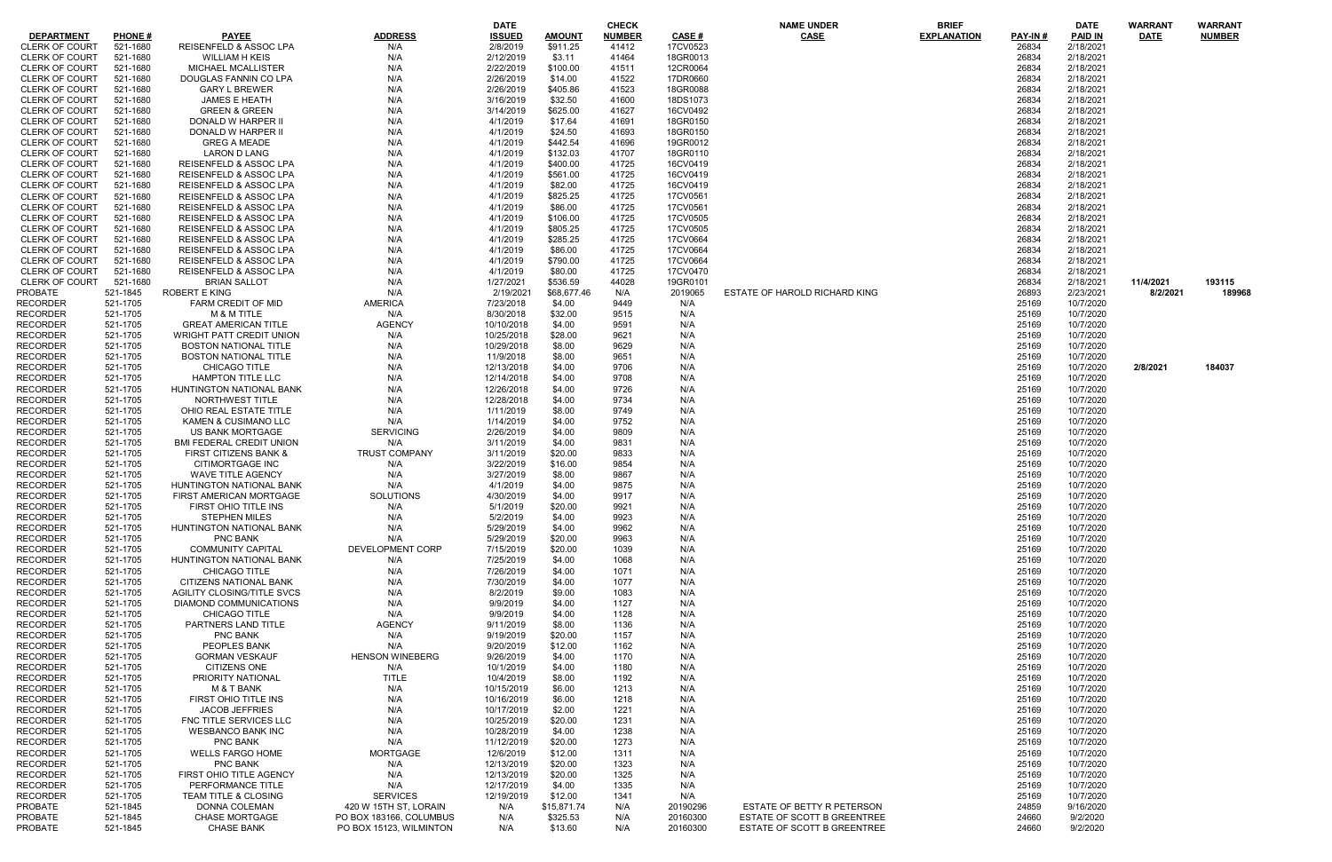|                       |               |                                   |                         | <b>DATE</b>   |               | CHECK         |              | <b>NAME UNDER</b>             | <b>BRIEF</b>       |                | <b>DATE</b>    | <b>WARRANT</b> | <b>WARRANT</b> |
|-----------------------|---------------|-----------------------------------|-------------------------|---------------|---------------|---------------|--------------|-------------------------------|--------------------|----------------|----------------|----------------|----------------|
| <b>DEPARTMENT</b>     | <b>PHONE#</b> | <b>PAYEE</b>                      | <b>ADDRESS</b>          | <b>ISSUED</b> | <b>AMOUNT</b> | <b>NUMBER</b> | <b>CASE#</b> | <b>CASE</b>                   | <b>EXPLANATION</b> | <b>PAY-IN#</b> | <b>PAID IN</b> | <b>DATE</b>    | <b>NUMBER</b>  |
| <b>CLERK OF COURT</b> | 521-1680      | REISENFELD & ASSOC LPA            | N/A                     | 2/8/2019      | \$911.25      | 41412         | 17CV0523     |                               |                    | 26834          | 2/18/2021      |                |                |
| <b>CLERK OF COURT</b> | 521-1680      | <b>WILLIAM H KEIS</b>             | N/A                     | 2/12/2019     | \$3.11        | 41464         | 18GR0013     |                               |                    | 26834          | 2/18/2021      |                |                |
| <b>CLERK OF COURT</b> | 521-1680      | MICHAEL MCALLISTER                | N/A                     | 2/22/2019     | \$100.00      | 41511         | 12CR0064     |                               |                    | 26834          | 2/18/2021      |                |                |
| <b>CLERK OF COURT</b> | 521-1680      | DOUGLAS FANNIN CO LPA             | N/A                     | 2/26/2019     | \$14.00       | 41522         | 17DR0660     |                               |                    | 26834          | 2/18/2021      |                |                |
|                       |               |                                   |                         |               |               |               |              |                               |                    |                |                |                |                |
| <b>CLERK OF COURT</b> | 521-1680      | <b>GARY L BREWER</b>              | N/A                     | 2/26/2019     | \$405.86      | 41523         | 18GR0088     |                               |                    | 26834          | 2/18/2021      |                |                |
| <b>CLERK OF COURT</b> | 521-1680      | <b>JAMES E HEATH</b>              | N/A                     | 3/16/2019     | \$32.50       | 41600         | 18DS1073     |                               |                    | 26834          | 2/18/2021      |                |                |
| <b>CLERK OF COURT</b> | 521-1680      | <b>GREEN &amp; GREEN</b>          | N/A                     | 3/14/2019     | \$625.00      | 41627         | 16CV0492     |                               |                    | 26834          | 2/18/2021      |                |                |
| <b>CLERK OF COURT</b> | 521-1680      | DONALD W HARPER II                | N/A                     | 4/1/2019      | \$17.64       | 41691         | 18GR0150     |                               |                    | 26834          | 2/18/2021      |                |                |
| CLERK OF COURT        | 521-1680      | DONALD W HARPER II                | N/A                     | 4/1/2019      | \$24.50       | 41693         | 18GR0150     |                               |                    | 26834          | 2/18/2021      |                |                |
| <b>CLERK OF COURT</b> | 521-1680      | <b>GREG A MEADE</b>               | N/A                     | 4/1/2019      | \$442.54      | 41696         | 19GR0012     |                               |                    | 26834          | 2/18/2021      |                |                |
| <b>CLERK OF COURT</b> | 521-1680      | LARON D LANG                      | N/A                     | 4/1/2019      | \$132.03      | 41707         | 18GR0110     |                               |                    | 26834          | 2/18/2021      |                |                |
| <b>CLERK OF COURT</b> | 521-1680      | REISENFELD & ASSOC LPA            | N/A                     | 4/1/2019      | \$400.00      | 41725         | 16CV0419     |                               |                    | 26834          | 2/18/2021      |                |                |
|                       |               | REISENFELD & ASSOC LPA            |                         |               |               |               |              |                               |                    |                |                |                |                |
| <b>CLERK OF COURT</b> | 521-1680      |                                   | N/A                     | 4/1/2019      | \$561.00      | 41725         | 16CV0419     |                               |                    | 26834          | 2/18/2021      |                |                |
| <b>CLERK OF COURT</b> | 521-1680      | REISENFELD & ASSOC LPA            | N/A                     | 4/1/2019      | \$82.00       | 41725         | 16CV0419     |                               |                    | 26834          | 2/18/2021      |                |                |
| <b>CLERK OF COURT</b> | 521-1680      | <b>REISENFELD &amp; ASSOC LPA</b> | N/A                     | 4/1/2019      | \$825.25      | 41725         | 17CV0561     |                               |                    | 26834          | 2/18/2021      |                |                |
| <b>CLERK OF COURT</b> | 521-1680      | REISENFELD & ASSOC LPA            | N/A                     | 4/1/2019      | \$86.00       | 41725         | 17CV0561     |                               |                    | 26834          | 2/18/2021      |                |                |
| CLERK OF COURT        | 521-1680      | REISENFELD & ASSOC LPA            | N/A                     | 4/1/2019      | \$106.00      | 41725         | 17CV0505     |                               |                    | 26834          | 2/18/2021      |                |                |
| <b>CLERK OF COURT</b> | 521-1680      | REISENFELD & ASSOC LPA            | N/A                     | 4/1/2019      | \$805.25      | 41725         | 17CV0505     |                               |                    | 26834          | 2/18/2021      |                |                |
| <b>CLERK OF COURT</b> | 521-1680      | REISENFELD & ASSOC LPA            | N/A                     | 4/1/2019      | \$285.25      | 41725         | 17CV0664     |                               |                    | 26834          | 2/18/2021      |                |                |
| <b>CLERK OF COURT</b> | 521-1680      | REISENFELD & ASSOC LPA            | N/A                     | 4/1/2019      | \$86.00       | 41725         | 17CV0664     |                               |                    | 26834          | 2/18/2021      |                |                |
|                       |               |                                   |                         |               |               |               |              |                               |                    |                |                |                |                |
| <b>CLERK OF COURT</b> | 521-1680      | REISENFELD & ASSOC LPA            | N/A                     | 4/1/2019      | \$790.00      | 41725         | 17CV0664     |                               |                    | 26834          | 2/18/2021      |                |                |
| <b>CLERK OF COURT</b> | 521-1680      | REISENFELD & ASSOC LPA            | N/A                     | 4/1/2019      | \$80.00       | 41725         | 17CV0470     |                               |                    | 26834          | 2/18/2021      |                |                |
| <b>CLERK OF COURT</b> | 521-1680      | <b>BRIAN SALLOT</b>               | N/A                     | 1/27/2021     | \$536.59      | 44028         | 19GR0101     |                               |                    | 26834          | 2/18/2021      | 11/4/2021      | 193115         |
| <b>PROBATE</b>        | 521-1845      | ROBERT E KING                     | N/A                     | 2/19/2021     | \$68,677.46   | N/A           | 2019065      | ESTATE OF HAROLD RICHARD KING |                    | 26893          | 2/23/2021      | 8/2/2021       | 189968         |
| <b>RECORDER</b>       | 521-1705      | FARM CREDIT OF MID                | AMERICA                 | 7/23/2018     | \$4.00        | 9449          | N/A          |                               |                    | 25169          | 10/7/2020      |                |                |
| <b>RECORDER</b>       | 521-1705      | M & M TITLE                       | N/A                     | 8/30/2018     | \$32.00       | 9515          | N/A          |                               |                    | 25169          | 10/7/2020      |                |                |
| <b>RECORDER</b>       | 521-1705      | <b>GREAT AMERICAN TITLE</b>       | <b>AGENCY</b>           | 10/10/2018    | \$4.00        | 9591          | N/A          |                               |                    | 25169          | 10/7/2020      |                |                |
| <b>RECORDER</b>       | 521-1705      | <b>WRIGHT PATT CREDIT UNION</b>   | N/A                     | 10/25/2018    | \$28.00       | 9621          | N/A          |                               |                    | 25169          | 10/7/2020      |                |                |
|                       |               |                                   |                         |               |               |               |              |                               |                    |                |                |                |                |
| <b>RECORDER</b>       | 521-1705      | <b>BOSTON NATIONAL TITLE</b>      | N/A                     | 10/29/2018    | \$8.00        | 9629          | N/A          |                               |                    | 25169          | 10/7/2020      |                |                |
| <b>RECORDER</b>       | 521-1705      | <b>BOSTON NATIONAL TITLE</b>      | N/A                     | 11/9/2018     | \$8.00        | 9651          | N/A          |                               |                    | 25169          | 10/7/2020      |                |                |
| <b>RECORDER</b>       | 521-1705      | CHICAGO TITLE                     | N/A                     | 12/13/2018    | \$4.00        | 9706          | N/A          |                               |                    | 25169          | 10/7/2020      | 2/8/2021       | 184037         |
| <b>RECORDER</b>       | 521-1705      | <b>HAMPTON TITLE LLC</b>          | N/A                     | 12/14/2018    | \$4.00        | 9708          | N/A          |                               |                    | 25169          | 10/7/2020      |                |                |
| <b>RECORDER</b>       | 521-1705      | HUNTINGTON NATIONAL BANK          | N/A                     | 12/26/2018    | \$4.00        | 9726          | N/A          |                               |                    | 25169          | 10/7/2020      |                |                |
| <b>RECORDER</b>       | 521-1705      | NORTHWEST TITLE                   | N/A                     | 12/28/2018    | \$4.00        | 9734          | N/A          |                               |                    | 25169          | 10/7/2020      |                |                |
| <b>RECORDER</b>       | 521-1705      | OHIO REAL ESTATE TITLE            | N/A                     | 1/11/2019     | \$8.00        | 9749          | N/A          |                               |                    | 25169          | 10/7/2020      |                |                |
| <b>RECORDER</b>       | 521-1705      | KAMEN & CUSIMANO LLC              | N/A                     | 1/14/2019     | \$4.00        | 9752          | N/A          |                               |                    | 25169          | 10/7/2020      |                |                |
|                       |               |                                   |                         |               |               |               |              |                               |                    |                |                |                |                |
| <b>RECORDER</b>       | 521-1705      | US BANK MORTGAGE                  | <b>SERVICING</b>        | 2/26/2019     | \$4.00        | 9809          | N/A          |                               |                    | 25169          | 10/7/2020      |                |                |
| <b>RECORDER</b>       | 521-1705      | <b>BMI FEDERAL CREDIT UNION</b>   | N/A                     | 3/11/2019     | \$4.00        | 9831          | N/A          |                               |                    | 25169          | 10/7/2020      |                |                |
| <b>RECORDER</b>       | 521-1705      | <b>FIRST CITIZENS BANK &amp;</b>  | <b>TRUST COMPANY</b>    | 3/11/2019     | \$20.00       | 9833          | N/A          |                               |                    | 25169          | 10/7/2020      |                |                |
| <b>RECORDER</b>       | 521-1705      | <b>CITIMORTGAGE INC</b>           | N/A                     | 3/22/2019     | \$16.00       | 9854          | N/A          |                               |                    | 25169          | 10/7/2020      |                |                |
| <b>RECORDER</b>       | 521-1705      | WAVE TITLE AGENCY                 | N/A                     | 3/27/2019     | \$8.00        | 9867          | N/A          |                               |                    | 25169          | 10/7/2020      |                |                |
| <b>RECORDER</b>       | 521-1705      | HUNTINGTON NATIONAL BANK          | N/A                     | 4/1/2019      | \$4.00        | 9875          | N/A          |                               |                    | 25169          | 10/7/2020      |                |                |
| <b>RECORDER</b>       | 521-1705      | FIRST AMERICAN MORTGAGE           | SOLUTIONS               | 4/30/2019     | \$4.00        | 9917          | N/A          |                               |                    | 25169          | 10/7/2020      |                |                |
| <b>RECORDER</b>       | 521-1705      | FIRST OHIO TITLE INS              | N/A                     | 5/1/2019      | \$20.00       | 9921          | N/A          |                               |                    | 25169          | 10/7/2020      |                |                |
| <b>RECORDER</b>       | 521-1705      | <b>STEPHEN MILES</b>              | N/A                     | 5/2/2019      | \$4.00        | 9923          | N/A          |                               |                    | 25169          | 10/7/2020      |                |                |
|                       |               |                                   |                         |               |               |               |              |                               |                    |                |                |                |                |
| <b>RECORDER</b>       | 521-1705      | HUNTINGTON NATIONAL BANK          | N/A                     | 5/29/2019     | \$4.00        | 9962          | N/A          |                               |                    | 25169          | 10/7/2020      |                |                |
| <b>RECORDER</b>       | 521-1705      | PNC BANK                          | N/A                     | 5/29/2019     | \$20.00       | 9963          | N/A          |                               |                    | 25169          | 10/7/2020      |                |                |
| <b>RECORDER</b>       | 521-1705      | <b>COMMUNITY CAPITAL</b>          | DEVELOPMENT CORP        | 7/15/2019     | \$20.00       | 1039          | N/A          |                               |                    | 25169          | 10/7/2020      |                |                |
| <b>RECORDER</b>       | 521-1705      | HUNTINGTON NATIONAL BANK          | N/A                     | 7/25/2019     | \$4.00        | 1068          | N/A          |                               |                    | 25169          | 10/7/2020      |                |                |
| <b>RECORDER</b>       | 521-1705      | <b>CHICAGO TITLE</b>              | N/A                     | 7/26/2019     | \$4.00        | 1071          | N/A          |                               |                    | 25169          | 10/7/2020      |                |                |
| <b>RECORDER</b>       | 521-1705      | CITIZENS NATIONAL BANK            | N/A                     | 7/30/2019     | \$4.00        | 1077          | N/A          |                               |                    | 25169          | 10/7/2020      |                |                |
| <b>RECORDER</b>       | 521-1705      | AGILITY CLOSING/TITLE SVCS        | N/A                     | 8/2/2019      | \$9.00        | 1083          | N/A          |                               |                    | 25169          | 10/7/2020      |                |                |
| <b>RECORDER</b>       |               | <b>DIAMOND COMMUNICATIONS</b>     |                         |               |               |               |              |                               |                    |                |                |                |                |
|                       | 521-1705      |                                   | N/A                     | 9/9/2019      | \$4.00        | 1127          | N/A          |                               |                    | 25169          | 10/7/2020      |                |                |
| <b>RECORDER</b>       | 521-1705      | <b>CHICAGO TITLE</b>              | N/A                     | 9/9/2019      | \$4.00        | 1128          | N/A          |                               |                    | 25169          | 10/7/2020      |                |                |
| <b>RECORDER</b>       | 521-1705      | <b>PARTNERS LAND TITLE</b>        | <b>AGENCY</b>           | 9/11/2019     | \$8.00        | 1136          | N/A          |                               |                    | 25169          | 10/7/2020      |                |                |
| <b>RECORDER</b>       | 521-1705      | PNC BANK                          | N/A                     | 9/19/2019     | \$20.00       | 1157          | N/A          |                               |                    | 25169          | 10/7/2020      |                |                |
| <b>RECORDER</b>       | 521-1705      | PEOPLES BANK                      | N/A                     | 9/20/2019     | \$12.00       | 1162          | N/A          |                               |                    | 25169          | 10/7/2020      |                |                |
| <b>RECORDER</b>       | 521-1705      | <b>GORMAN VESKAUF</b>             | <b>HENSON WINEBERG</b>  | 9/26/2019     | \$4.00        | 1170          | N/A          |                               |                    | 25169          | 10/7/2020      |                |                |
| <b>RECORDER</b>       | 521-1705      | <b>CITIZENS ONE</b>               | N/A                     | 10/1/2019     | \$4.00        | 1180          | N/A          |                               |                    | 25169          | 10/7/2020      |                |                |
| <b>RECORDER</b>       | 521-1705      | <b>PRIORITY NATIONAL</b>          | <b>TITLE</b>            | 10/4/2019     | \$8.00        | 1192          | N/A          |                               |                    | 25169          | 10/7/2020      |                |                |
|                       |               |                                   |                         |               |               |               |              |                               |                    |                |                |                |                |
| <b>RECORDER</b>       | 521-1705      | M & T BANK                        | N/A                     | 10/15/2019    | \$6.00        | 1213          | N/A          |                               |                    | 25169          | 10/7/2020      |                |                |
| <b>RECORDER</b>       | 521-1705      | FIRST OHIO TITLE INS              | N/A                     | 10/16/2019    | \$6.00        | 1218          | N/A          |                               |                    | 25169          | 10/7/2020      |                |                |
| <b>RECORDER</b>       | 521-1705      | <b>JACOB JEFFRIES</b>             | N/A                     | 10/17/2019    | \$2.00        | 1221          | N/A          |                               |                    | 25169          | 10/7/2020      |                |                |
| <b>RECORDER</b>       | 521-1705      | FNC TITLE SERVICES LLC            | N/A                     | 10/25/2019    | \$20.00       | 1231          | N/A          |                               |                    | 25169          | 10/7/2020      |                |                |
| <b>RECORDER</b>       | 521-1705      | <b>WESBANCO BANK INC</b>          | N/A                     | 10/28/2019    | \$4.00        | 1238          | N/A          |                               |                    | 25169          | 10/7/2020      |                |                |
| <b>RECORDER</b>       | 521-1705      | PNC BANK                          | N/A                     | 11/12/2019    | \$20.00       | 1273          | N/A          |                               |                    | 25169          | 10/7/2020      |                |                |
| <b>RECORDER</b>       | 521-1705      | <b>WELLS FARGO HOME</b>           | <b>MORTGAGE</b>         | 12/6/2019     | \$12.00       | 1311          | N/A          |                               |                    | 25169          | 10/7/2020      |                |                |
| <b>RECORDER</b>       | 521-1705      | <b>PNC BANK</b>                   | N/A                     | 12/13/2019    | \$20.00       | 1323          | N/A          |                               |                    | 25169          | 10/7/2020      |                |                |
| <b>RECORDER</b>       | 521-1705      | FIRST OHIO TITLE AGENCY           | N/A                     | 12/13/2019    | \$20.00       | 1325          | N/A          |                               |                    | 25169          | 10/7/2020      |                |                |
|                       |               |                                   |                         |               |               |               |              |                               |                    |                |                |                |                |
| <b>RECORDER</b>       | 521-1705      | PERFORMANCE TITLE                 | N/A                     | 12/17/2019    | \$4.00        | 1335          | N/A          |                               |                    | 25169          | 10/7/2020      |                |                |
| <b>RECORDER</b>       | 521-1705      | <b>TEAM TITLE &amp; CLOSING</b>   | <b>SERVICES</b>         | 12/19/2019    | \$12.00       | 1341          | N/A          |                               |                    | 25169          | 10/7/2020      |                |                |
| PROBATE               | 521-1845      | DONNA COLEMAN                     | 420 W 15TH ST, LORAIN   | N/A           | \$15,871.74   | N/A           | 20190296     | ESTATE OF BETTY R PETERSON    |                    | 24859          | 9/16/2020      |                |                |
| PROBATE               | 521-1845      | <b>CHASE MORTGAGE</b>             | PO BOX 183166, COLUMBUS | N/A           | \$325.53      | N/A           | 20160300     | ESTATE OF SCOTT B GREENTREE   |                    | 24660          | 9/2/2020       |                |                |
| PROBATE               | 521-1845      | <b>CHASE BANK</b>                 | PO BOX 15123, WILMINTON | N/A           | \$13.60       | N/A           | 20160300     | ESTATE OF SCOTT B GREENTREE   |                    | 24660          | 9/2/2020       |                |                |
|                       |               |                                   |                         |               |               |               |              |                               |                    |                |                |                |                |

|                  | DAIE                   | <b>WARRANI</b> | <b>WAKKAN I</b> |
|------------------|------------------------|----------------|-----------------|
| PAY-IN#<br>26834 | PAID IN<br>2/18/2021   | DATE           | <b>NUMBER</b>   |
| 26834            | 2/18/2021              |                |                 |
| 26834            | 2/18/2021              |                |                 |
| 26834            | 2/18/2021              |                |                 |
| 26834            | 2/18/2021              |                |                 |
| 26834            | 2/18/2021              |                |                 |
| 26834            | 2/18/2021              |                |                 |
| 26834            | 2/18/2021              |                |                 |
| 26834            | 2/18/2021              |                |                 |
| 26834            | 2/18/2021              |                |                 |
| 26834            | 2/18/2021              |                |                 |
| 26834            | 2/18/2021              |                |                 |
| 26834            | 2/18/2021              |                |                 |
| 26834            | 2/18/2021              |                |                 |
| 26834            | 2/18/2021              |                |                 |
| 26834            | 2/18/2021              |                |                 |
| 26834            | 2/18/2021              |                |                 |
| 26834            | 2/18/2021              |                |                 |
| 26834<br>26834   | 2/18/2021<br>2/18/2021 |                |                 |
| 26834            | 2/18/2021              |                |                 |
| 26834            | 2/18/2021              |                |                 |
| 26834            | 2/18/2021              | 11/4/2021      | 193115          |
| 26893            | 2/23/2021              | 8/2/2021       | 189968          |
| 25169            | 10/7/2020              |                |                 |
| 25169            | 10/7/2020              |                |                 |
| 25169            | 10/7/2020              |                |                 |
| 25169            | 10/7/2020              |                |                 |
| 25169            | 10/7/2020              |                |                 |
| 25169            | 10/7/2020              |                |                 |
| 25169            | 10/7/2020              | 2/8/2021       | 184037          |
| 25169            | 10/7/2020              |                |                 |
| 25169            | 10/7/2020              |                |                 |
| 25169            | 10/7/2020              |                |                 |
| 25169            | 10/7/2020              |                |                 |
| 25169            | 10/7/2020              |                |                 |
| 25169            | 10/7/2020              |                |                 |
| 25169            | 10/7/2020              |                |                 |
| 25169<br>25169   | 10/7/2020<br>10/7/2020 |                |                 |
| 25169            | 10/7/2020              |                |                 |
| 25169            | 10/7/2020              |                |                 |
| 25169            | 10/7/2020              |                |                 |
| 25169            | 10/7/2020              |                |                 |
| 25169            | 10/7/2020              |                |                 |
| 25169            | 10/7/2020              |                |                 |
| 25169            | 10/7/2020              |                |                 |
| 25169            | 10/7/2020              |                |                 |
| 25169            | 10/7/2020              |                |                 |
| 25169            | 10/7/2020              |                |                 |
| 25169            | 10/7/2020              |                |                 |
| 25169            | 10/7/2020              |                |                 |
| 25169            | 10/7/2020              |                |                 |
| 25169            | 10/7/2020              |                |                 |
| 25169            | 10/7/2020              |                |                 |
| 25169            | 10/7/2020              |                |                 |
| 25169            | 10/7/2020              |                |                 |
| 25169<br>25169   | 10/7/2020<br>10/7/2020 |                |                 |
| 25169            | 10/7/2020              |                |                 |
| 25169            | 10/7/2020              |                |                 |
| 25169            | 10/7/2020              |                |                 |
| 25169            | 10/7/2020              |                |                 |
| 25169            | 10/7/2020              |                |                 |
| 25169            | 10/7/2020              |                |                 |
| 25169            | 10/7/2020              |                |                 |
| 25169            | 10/7/2020              |                |                 |
| 25169            | 10/7/2020              |                |                 |
| 25169            | 10/7/2020              |                |                 |
| 25169            | 10/7/2020              |                |                 |
| 25169            | 10/7/2020              |                |                 |
| 24859            | 9/16/2020              |                |                 |
| 24660            | 9/2/2020               |                |                 |
| 24660            | 9/2/2020               |                |                 |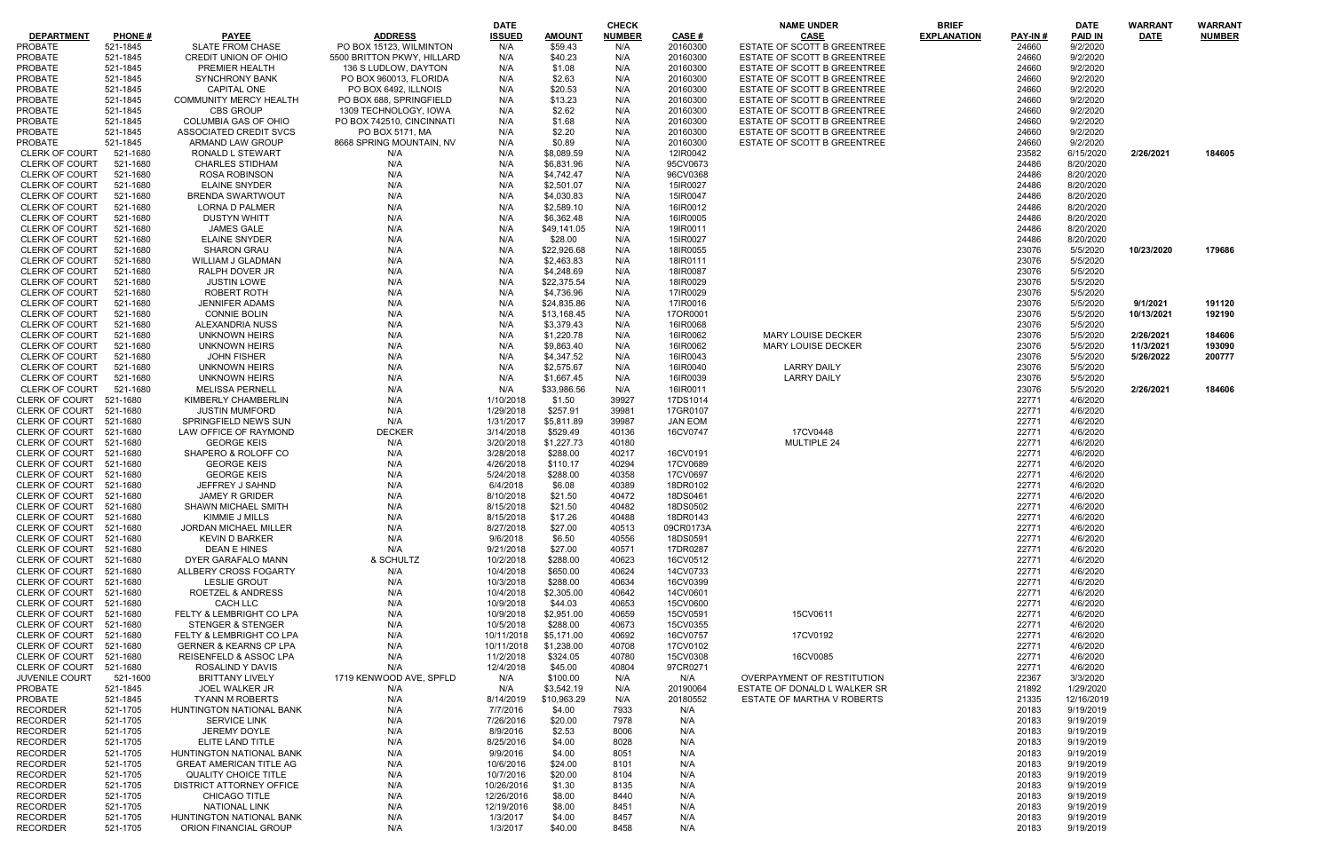|                         |               |                                   |                            | <b>DATE</b>   |               | <b>CHECK</b>  |                | <b>NAME UNDER</b>            | <b>BRIEF</b>       |                | <b>DATE</b>    | WARRANT     | WARRANT       |
|-------------------------|---------------|-----------------------------------|----------------------------|---------------|---------------|---------------|----------------|------------------------------|--------------------|----------------|----------------|-------------|---------------|
| <b>DEPARTMENT</b>       | <b>PHONE#</b> | <b>PAYEE</b>                      | <b>ADDRESS</b>             | <b>ISSUED</b> | <b>AMOUNT</b> | <b>NUMBER</b> | CASE #         | <b>CASE</b>                  | <b>EXPLANATION</b> | <b>PAY-IN#</b> | <b>PAID IN</b> | <b>DATE</b> | <b>NUMBER</b> |
| <b>PROBATE</b>          | 521-1845      | <b>SLATE FROM CHASE</b>           | PO BOX 15123, WILMINTON    | N/A           | \$59.43       | N/A           | 20160300       | ESTATE OF SCOTT B GREENTREE  |                    | 24660          | 9/2/2020       |             |               |
|                         |               |                                   |                            |               |               |               |                |                              |                    |                |                |             |               |
| <b>PROBATE</b>          | 521-1845      | CREDIT UNION OF OHIO              | 5500 BRITTON PKWY, HILLARD | N/A           | \$40.23       | N/A           | 20160300       | ESTATE OF SCOTT B GREENTREE  |                    | 24660          | 9/2/2020       |             |               |
| <b>PROBATE</b>          | 521-1845      | PREMIER HEALTH                    | 136 S LUDLOW, DAYTON       | N/A           | \$1.08        | N/A           | 20160300       | ESTATE OF SCOTT B GREENTREE  |                    | 24660          | 9/2/2020       |             |               |
| PROBATE                 | 521-1845      | <b>SYNCHRONY BANK</b>             | PO BOX 960013, FLORIDA     | N/A           | \$2.63        | N/A           | 20160300       | ESTATE OF SCOTT B GREENTREE  |                    | 24660          | 9/2/2020       |             |               |
| <b>PROBATE</b>          | 521-1845      | <b>CAPITAL ONE</b>                | PO BOX 6492, ILLNOIS       | N/A           | \$20.53       | N/A           | 20160300       | ESTATE OF SCOTT B GREENTREE  |                    | 24660          | 9/2/2020       |             |               |
|                         |               |                                   |                            |               |               |               |                |                              |                    |                |                |             |               |
| PROBATE                 | 521-1845      | <b>COMMUNITY MERCY HEALTH</b>     | PO BOX 688, SPRINGFIELD    | N/A           | \$13.23       | N/A           | 20160300       | ESTATE OF SCOTT B GREENTREE  |                    | 24660          | 9/2/2020       |             |               |
| <b>PROBATE</b>          | 521-1845      | <b>CBS GROUP</b>                  | 1309 TECHNOLOGY, IOWA      | N/A           | \$2.62        | N/A           | 20160300       | ESTATE OF SCOTT B GREENTREE  |                    | 24660          | 9/2/2020       |             |               |
| <b>PROBATE</b>          | 521-1845      | <b>COLUMBIA GAS OF OHIO</b>       | PO BOX 742510, CINCINNATI  | N/A           | \$1.68        | N/A           | 20160300       | ESTATE OF SCOTT B GREENTREE  |                    | 24660          | 9/2/2020       |             |               |
| <b>PROBATE</b>          | 521-1845      | ASSOCIATED CREDIT SVCS            | PO BOX 5171, MA            | N/A           | \$2.20        | N/A           | 20160300       | ESTATE OF SCOTT B GREENTREE  |                    | 24660          | 9/2/2020       |             |               |
|                         |               |                                   |                            |               |               |               |                |                              |                    |                |                |             |               |
| <b>PROBATE</b>          | 521-1845      | ARMAND LAW GROUP                  | 8668 SPRING MOUNTAIN, NV   | N/A           | \$0.89        | N/A           | 20160300       | ESTATE OF SCOTT B GREENTREE  |                    | 24660          | 9/2/2020       |             |               |
| <b>CLERK OF COURT</b>   | 521-1680      | <b>RONALD L STEWART</b>           | N/A                        | N/A           | \$8,089.59    | N/A           | 12IR0042       |                              |                    | 23582          | 6/15/2020      | 2/26/2021   | 184605        |
| <b>CLERK OF COURT</b>   | 521-1680      | <b>CHARLES STIDHAM</b>            | N/A                        | N/A           | \$6,831.96    | N/A           | 95CV0673       |                              |                    | 24486          | 8/20/2020      |             |               |
| <b>CLERK OF COURT</b>   | 521-1680      | <b>ROSA ROBINSON</b>              | N/A                        | N/A           | \$4,742.47    | N/A           | 96CV0368       |                              |                    | 24486          | 8/20/2020      |             |               |
|                         |               |                                   |                            |               |               |               |                |                              |                    |                |                |             |               |
| CLERK OF COURT          | 521-1680      | <b>ELAINE SNYDER</b>              | N/A                        | N/A           | \$2,501.07    | N/A           | 15IR0027       |                              |                    | 24486          | 8/20/2020      |             |               |
| <b>CLERK OF COURT</b>   | 521-1680      | <b>BRENDA SWARTWOUT</b>           | N/A                        | N/A           | \$4,030.83    | N/A           | 15IR0047       |                              |                    | 24486          | 8/20/2020      |             |               |
| CLERK OF COURT          | 521-1680      | <b>LORNA D PALMER</b>             | N/A                        | N/A           | \$2,589.10    | N/A           | 16IR0012       |                              |                    | 24486          | 8/20/2020      |             |               |
| <b>CLERK OF COURT</b>   | 521-1680      | <b>DUSTYN WHITT</b>               | N/A                        | N/A           | \$6,362.48    | N/A           | 16IR0005       |                              |                    | 24486          | 8/20/2020      |             |               |
|                         |               |                                   |                            |               |               |               |                |                              |                    |                |                |             |               |
| <b>CLERK OF COURT</b>   | 521-1680      | <b>JAMES GALE</b>                 | N/A                        | N/A           | \$49,141.05   | N/A           | 19IR0011       |                              |                    | 24486          | 8/20/2020      |             |               |
| <b>CLERK OF COURT</b>   | 521-1680      | <b>ELAINE SNYDER</b>              | N/A                        | N/A           | \$28.00       | N/A           | 15IR0027       |                              |                    | 24486          | 8/20/2020      |             |               |
| <b>CLERK OF COURT</b>   | 521-1680      | <b>SHARON GRAU</b>                | N/A                        | N/A           | \$22,926.68   | N/A           | 18IR0055       |                              |                    | 23076          | 5/5/2020       | 10/23/2020  | 179686        |
| <b>CLERK OF COURT</b>   | 521-1680      | <b>WILLIAM J GLADMAN</b>          | N/A                        | N/A           | \$2,463.83    | N/A           | 18IR0111       |                              |                    | 23076          | 5/5/2020       |             |               |
|                         |               |                                   |                            |               |               |               |                |                              |                    |                |                |             |               |
| <b>CLERK OF COURT</b>   | 521-1680      | RALPH DOVER JR                    | N/A                        | N/A           | \$4,248.69    | N/A           | 18IR0087       |                              |                    | 23076          | 5/5/2020       |             |               |
| <b>CLERK OF COURT</b>   | 521-1680      | <b>JUSTIN LOWE</b>                | N/A                        | N/A           | \$22,375.54   | N/A           | 18IR0029       |                              |                    | 23076          | 5/5/2020       |             |               |
| <b>CLERK OF COURT</b>   | 521-1680      | <b>ROBERT ROTH</b>                | N/A                        | N/A           | \$4,736.96    | N/A           | 17IR0029       |                              |                    | 23076          | 5/5/2020       |             |               |
| <b>CLERK OF COURT</b>   | 521-1680      | <b>JENNIFER ADAMS</b>             | N/A                        | N/A           | \$24,835.86   | N/A           | 17IR0016       |                              |                    | 23076          | 5/5/2020       | 9/1/2021    | 191120        |
|                         |               |                                   |                            |               |               |               |                |                              |                    |                |                |             |               |
| <b>CLERK OF COURT</b>   | 521-1680      | <b>CONNIE BOLIN</b>               | N/A                        | N/A           | \$13,168.45   | N/A           | 17OR0001       |                              |                    | 23076          | 5/5/2020       | 10/13/2021  | 192190        |
| <b>CLERK OF COURT</b>   | 521-1680      | ALEXANDRIA NUSS                   | N/A                        | N/A           | \$3,379.43    | N/A           | 16IR0068       |                              |                    | 23076          | 5/5/2020       |             |               |
| <b>CLERK OF COURT</b>   | 521-1680      | UNKNOWN HEIRS                     | N/A                        | N/A           | \$1,220.78    | N/A           | 16IR0062       | <b>MARY LOUISE DECKER</b>    |                    | 23076          | 5/5/2020       | 2/26/2021   | 184606        |
| <b>CLERK OF COURT</b>   | 521-1680      | <b>UNKNOWN HEIRS</b>              | N/A                        | N/A           | \$9,863.40    | N/A           | 16IR0062       | <b>MARY LOUISE DECKER</b>    |                    | 23076          | 5/5/2020       | 11/3/2021   | 193090        |
|                         |               |                                   |                            |               |               |               |                |                              |                    |                |                |             |               |
| <b>CLERK OF COURT</b>   | 521-1680      | <b>JOHN FISHER</b>                | N/A                        | N/A           | \$4,347.52    | N/A           | 16IR0043       |                              |                    | 23076          | 5/5/2020       | 5/26/2022   | 200777        |
| <b>CLERK OF COURT</b>   | 521-1680      | UNKNOWN HEIRS                     | N/A                        | N/A           | \$2,575.67    | N/A           | 16IR0040       | <b>LARRY DAILY</b>           |                    | 23076          | 5/5/2020       |             |               |
| <b>CLERK OF COURT</b>   | 521-1680      | <b>UNKNOWN HEIRS</b>              | N/A                        | N/A           | \$1,667.45    | N/A           | 16IR0039       | <b>LARRY DAILY</b>           |                    | 23076          | 5/5/2020       |             |               |
| <b>CLERK OF COURT</b>   | 521-1680      | <b>MELISSA PERNELL</b>            | N/A                        | N/A           | \$33,986.56   | N/A           | 16IR0011       |                              |                    | 23076          | 5/5/2020       | 2/26/2021   | 184606        |
|                         |               |                                   |                            |               |               |               |                |                              |                    |                |                |             |               |
| CLERK OF COURT          | 521-1680      | KIMBERLY CHAMBERLIN               | N/A                        | 1/10/2018     | \$1.50        | 39927         | 17DS1014       |                              |                    | 22771          | 4/6/2020       |             |               |
| CLERK OF COURT          | 521-1680      | <b>JUSTIN MUMFORD</b>             | N/A                        | 1/29/2018     | \$257.91      | 39981         | 17GR0107       |                              |                    | 22771          | 4/6/2020       |             |               |
| <b>CLERK OF COURT</b>   | 521-1680      | SPRINGFIELD NEWS SUN              | N/A                        | 1/31/2017     | \$5,811.89    | 39987         | <b>JAN EOM</b> |                              |                    | 22771          | 4/6/2020       |             |               |
| <b>CLERK OF COURT</b>   | 521-1680      | LAW OFFICE OF RAYMOND             | <b>DECKER</b>              | 3/14/2018     | \$529.49      | 40136         | 16CV0747       | 17CV0448                     |                    | 22771          | 4/6/2020       |             |               |
| <b>CLERK OF COURT</b>   | 521-1680      | <b>GEORGE KEIS</b>                | N/A                        | 3/20/2018     | \$1,227.73    | 40180         |                | MULTIPLE 24                  |                    | 22771          | 4/6/2020       |             |               |
|                         |               |                                   |                            |               |               |               |                |                              |                    |                |                |             |               |
| <b>CLERK OF COURT</b>   | 521-1680      | SHAPERO & ROLOFF CO               | N/A                        | 3/28/2018     | \$288.00      | 40217         | 16CV0191       |                              |                    | 22771          | 4/6/2020       |             |               |
| <b>CLERK OF COURT</b>   | 521-1680      | <b>GEORGE KEIS</b>                | N/A                        | 4/26/2018     | \$110.17      | 40294         | 17CV0689       |                              |                    | 22771          | 4/6/2020       |             |               |
| <b>CLERK OF COURT</b>   | 521-1680      | <b>GEORGE KEIS</b>                | N/A                        | 5/24/2018     | \$288.00      | 40358         | 17CV0697       |                              |                    | 22771          | 4/6/2020       |             |               |
| CLERK OF COURT          | 521-1680      | JEFFREY J SAHND                   | N/A                        | 6/4/2018      | \$6.08        | 40389         | 18DR0102       |                              |                    | 22771          | 4/6/2020       |             |               |
|                         |               |                                   |                            |               |               |               |                |                              |                    |                |                |             |               |
| <b>CLERK OF COURT</b>   | 521-1680      | <b>JAMEY R GRIDER</b>             | N/A                        | 8/10/2018     | \$21.50       | 40472         | 18DS0461       |                              |                    | 22771          | 4/6/2020       |             |               |
| CLERK OF COURT 521-1680 |               | <b>SHAWN MICHAEL SMITH</b>        | N/A                        | 8/15/2018     | \$21.50       | 40482         | 18DS0502       |                              |                    | 22771          | 4/6/2020       |             |               |
| CLERK OF COURT 521-1680 |               | KIMMIE J MILLS                    | N/A                        | 8/15/2018     | \$17.26       | 40488         | 18DR0143       |                              |                    | 22771          | 4/6/2020       |             |               |
| <b>CLERK OF COURT</b>   | 521-1680      | <b>JORDAN MICHAEL MILLER</b>      | N/A                        | 8/27/2018     | \$27.00       | 40513         | 09CR0173A      |                              |                    | 22771          | 4/6/2020       |             |               |
| <b>CLERK OF COURT</b>   |               | <b>KEVIN D BARKER</b>             | N/A                        |               |               |               | 18DS0591       |                              |                    | 22771          | 4/6/2020       |             |               |
|                         | 521-1680      |                                   |                            | 9/6/2018      | \$6.50        | 40556         |                |                              |                    |                |                |             |               |
| <b>CLERK OF COURT</b>   | 521-1680      | <b>DEAN E HINES</b>               | N/A                        | 9/21/2018     | \$27.00       | 40571         | 17DR0287       |                              |                    | 22771          | 4/6/2020       |             |               |
| CLERK OF COURT 521-1680 |               | DYER GARAFALO MANN                | & SCHULTZ                  | 10/2/2018     | \$288.00      | 40623         | 16CV0512       |                              |                    | 22771          | 4/6/2020       |             |               |
| <b>CLERK OF COURT</b>   | 521-1680      | ALLBERY CROSS FOGARTY             | N/A                        | 10/4/2018     | \$650.00      | 40624         | 14CV0733       |                              |                    | 22771          | 4/6/2020       |             |               |
| <b>CLERK OF COURT</b>   | 521-1680      | <b>LESLIE GROUT</b>               | N/A                        | 10/3/2018     | \$288.00      | 40634         | 16CV0399       |                              |                    | 22771          | 4/6/2020       |             |               |
|                         |               |                                   |                            |               |               |               |                |                              |                    |                |                |             |               |
| CLERK OF COURT          | 521-1680      | ROETZEL & ANDRESS                 | N/A                        | 10/4/2018     | \$2,305.00    | 40642         | 14CV0601       |                              |                    | 22771          | 4/6/2020       |             |               |
| CLERK OF COURT          | 521-1680      | CACH LLC                          | N/A                        | 10/9/2018     | \$44.03       | 40653         | 15CV0600       |                              |                    | 22771          | 4/6/2020       |             |               |
| <b>CLERK OF COURT</b>   | 521-1680      | FELTY & LEMBRIGHT CO LPA          | N/A                        | 10/9/2018     | \$2,951.00    | 40659         | 15CV0591       | 15CV0611                     |                    | 22771          | 4/6/2020       |             |               |
| CLERK OF COURT          | 521-1680      | <b>STENGER &amp; STENGER</b>      | N/A                        | 10/5/2018     | \$288.00      | 40673         | 15CV0355       |                              |                    | 22771          | 4/6/2020       |             |               |
|                         |               |                                   |                            |               |               |               |                |                              |                    |                |                |             |               |
| CLERK OF COURT          | 521-1680      | FELTY & LEMBRIGHT CO LPA          | N/A                        | 10/11/2018    | \$5,171.00    | 40692         | 16CV0757       | 17CV0192                     |                    | 22771          | 4/6/2020       |             |               |
| CLERK OF COURT          | 521-1680      | <b>GERNER &amp; KEARNS CP LPA</b> | N/A                        | 10/11/2018    | \$1,238.00    | 40708         | 17CV0102       |                              |                    | 22771          | 4/6/2020       |             |               |
| <b>CLERK OF COURT</b>   | 521-1680      | <b>REISENFELD &amp; ASSOC LPA</b> | N/A                        | 11/2/2018     | \$324.05      | 40780         | 15CV0308       | 16CV0085                     |                    | 22771          | 4/6/2020       |             |               |
| CLERK OF COURT          | 521-1680      | ROSALIND Y DAVIS                  | N/A                        | 12/4/2018     | \$45.00       | 40804         | 97CR0271       |                              |                    | 22771          | 4/6/2020       |             |               |
|                         |               |                                   |                            |               |               |               |                |                              |                    |                |                |             |               |
| JUVENILE COURT          | 521-1600      | <b>BRITTANY LIVELY</b>            | 1719 KENWOOD AVE, SPFLD    | N/A           | \$100.00      | N/A           | N/A            | OVERPAYMENT OF RESTITUTION   |                    | 22367          | 3/3/2020       |             |               |
| <b>PROBATE</b>          | 521-1845      | JOEL WALKER JR                    | N/A                        | N/A           | \$3,542.19    | N/A           | 20190064       | ESTATE OF DONALD L WALKER SR |                    | 21892          | 1/29/2020      |             |               |
| PROBATE                 | 521-1845      | <b>TYANN M ROBERTS</b>            | N/A                        | 8/14/2019     | \$10,963.29   | N/A           | 20180552       | ESTATE OF MARTHA V ROBERTS   |                    | 21335          | 12/16/2019     |             |               |
| <b>RECORDER</b>         | 521-1705      | HUNTINGTON NATIONAL BANK          | N/A                        | 7/7/2016      | \$4.00        | 7933          | N/A            |                              |                    | 20183          | 9/19/2019      |             |               |
| <b>RECORDER</b>         | 521-1705      | <b>SERVICE LINK</b>               | N/A                        | 7/26/2016     | \$20.00       | 7978          | N/A            |                              |                    | 20183          | 9/19/2019      |             |               |
|                         |               |                                   |                            |               |               |               |                |                              |                    |                |                |             |               |
| <b>RECORDER</b>         | 521-1705      | JEREMY DOYLE                      | N/A                        | 8/9/2016      | \$2.53        | 8006          | N/A            |                              |                    | 20183          | 9/19/2019      |             |               |
| <b>RECORDER</b>         | 521-1705      | ELITE LAND TITLE                  | N/A                        | 8/25/2016     | \$4.00        | 8028          | N/A            |                              |                    | 20183          | 9/19/2019      |             |               |
| <b>RECORDER</b>         | 521-1705      | HUNTINGTON NATIONAL BANK          | N/A                        | 9/9/2016      | \$4.00        | 8051          | N/A            |                              |                    | 20183          | 9/19/2019      |             |               |
| <b>RECORDER</b>         | 521-1705      | <b>GREAT AMERICAN TITLE AG</b>    | N/A                        | 10/6/2016     | \$24.00       | 8101          | N/A            |                              |                    | 20183          | 9/19/2019      |             |               |
|                         |               |                                   |                            |               |               |               |                |                              |                    |                |                |             |               |
| <b>RECORDER</b>         | 521-1705      | <b>QUALITY CHOICE TITLE</b>       | N/A                        | 10/7/2016     | \$20.00       | 8104          | N/A            |                              |                    | 20183          | 9/19/2019      |             |               |
| <b>RECORDER</b>         | 521-1705      | DISTRICT ATTORNEY OFFICE          | N/A                        | 10/26/2016    | \$1.30        | 8135          | N/A            |                              |                    | 20183          | 9/19/2019      |             |               |
| <b>RECORDER</b>         | 521-1705      | CHICAGO TITLE                     | N/A                        | 12/26/2016    | \$8.00        | 8440          | N/A            |                              |                    | 20183          | 9/19/2019      |             |               |
| <b>RECORDER</b>         | 521-1705      | <b>NATIONAL LINK</b>              | N/A                        | 12/19/2016    | \$8.00        | 8451          | N/A            |                              |                    | 20183          | 9/19/2019      |             |               |
| <b>RECORDER</b>         | 521-1705      | HUNTINGTON NATIONAL BANK          | N/A                        | 1/3/2017      | \$4.00        | 8457          | N/A            |                              |                    | 20183          | 9/19/2019      |             |               |
|                         |               |                                   |                            |               |               |               |                |                              |                    |                |                |             |               |
| <b>RECORDER</b>         | 521-1705      | ORION FINANCIAL GROUP             | N/A                        | 1/3/2017      | \$40.00       | 8458          | N/A            |                              |                    | 20183          | 9/19/2019      |             |               |

|                | DATE                 | WARRANT    | WARRANT       |
|----------------|----------------------|------------|---------------|
| PAY-IN#        | PAID IN              | DATE       | <b>NUMBER</b> |
| 24660          | 9/2/2020             |            |               |
| 24660          | 9/2/2020             |            |               |
| 24660<br>24660 | 9/2/2020<br>9/2/2020 |            |               |
| 24660          | 9/2/2020             |            |               |
| 24660          | 9/2/2020             |            |               |
| 24660          | 9/2/2020             |            |               |
| 24660          | 9/2/2020             |            |               |
| 24660          | 9/2/2020             |            |               |
| 24660          | 9/2/2020             |            |               |
| 23582          | 6/15/2020            | 2/26/2021  | 184605        |
| 24486          | 8/20/2020            |            |               |
| 24486          | 8/20/2020            |            |               |
| 24486          | 8/20/2020            |            |               |
| 24486          | 8/20/2020            |            |               |
| 24486          | 8/20/2020            |            |               |
| 24486          | 8/20/2020            |            |               |
| 24486          | 8/20/2020            |            |               |
| 24486          | 8/20/2020            |            |               |
| 23076          | 5/5/2020             | 10/23/2020 | 179686        |
| 23076<br>23076 | 5/5/2020<br>5/5/2020 |            |               |
| 23076          | 5/5/2020             |            |               |
| 23076          | 5/5/2020             |            |               |
| 23076          | 5/5/2020             | 9/1/2021   | 191120        |
| 23076          | 5/5/2020             | 10/13/2021 | 192190        |
| 23076          | 5/5/2020             |            |               |
| 23076          | 5/5/2020             | 2/26/2021  | 184606        |
| 23076          | 5/5/2020             | 11/3/2021  | 193090        |
| 23076          | 5/5/2020             | 5/26/2022  | 200777        |
| 23076          | 5/5/2020             |            |               |
| 23076          | 5/5/2020             |            |               |
| 23076          | 5/5/2020             | 2/26/2021  | 184606        |
| 22771          | 4/6/2020             |            |               |
| 22771          | 4/6/2020             |            |               |
| 22771          | 4/6/2020             |            |               |
| 22771          | 4/6/2020             |            |               |
| 22771          | 4/6/2020             |            |               |
| 22771          | 4/6/2020             |            |               |
| 22771<br>22771 | 4/6/2020<br>4/6/2020 |            |               |
| 22771          | 4/6/2020             |            |               |
| 22771          | 4/6/2020             |            |               |
| 22771          | 4/6/2020             |            |               |
| 22771          | 4/6/2020             |            |               |
| 22771          | 4/6/2020             |            |               |
| 22771          | 4/6/2020             |            |               |
| 22771          | 4/6/2020             |            |               |
| 22771          | 4/6/2020             |            |               |
| 22771          | 4/6/2020             |            |               |
| 22771          | 4/6/2020             |            |               |
| 22771          | 4/6/2020             |            |               |
| 22771          | 4/6/2020             |            |               |
| 22771          | 4/6/2020             |            |               |
| 22771<br>22771 | 4/6/2020             |            |               |
| 22771          | 4/6/2020<br>4/6/2020 |            |               |
| 22771          | 4/6/2020             |            |               |
| 22771          | 4/6/2020             |            |               |
| 22367          | 3/3/2020             |            |               |
| 21892          | 1/29/2020            |            |               |
| 21335          | 12/16/2019           |            |               |
| 20183          | 9/19/2019            |            |               |
| 20183          | 9/19/2019            |            |               |
| 20183          | 9/19/2019            |            |               |
| 20183          | 9/19/2019            |            |               |
| 20183          | 9/19/2019            |            |               |
| 20183          | 9/19/2019            |            |               |
| 20183          | 9/19/2019            |            |               |
| 20183          | 9/19/2019            |            |               |
| 20183          | 9/19/2019            |            |               |
| 20183          | 9/19/2019            |            |               |
| 20183          | 9/19/2019            |            |               |
| 20183          | 9/19/2019            |            |               |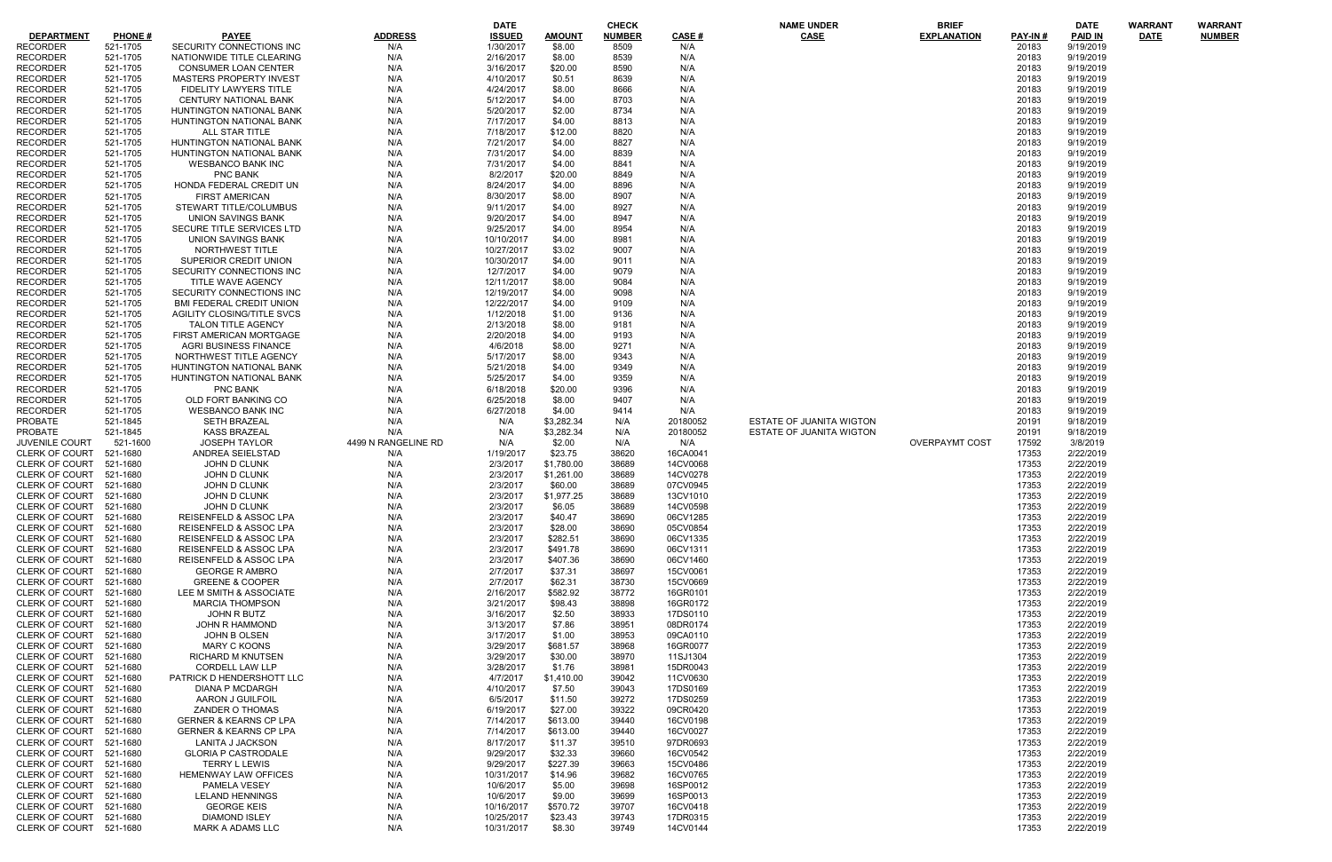|                         |               |                                   |                     | <b>DATE</b>   |            | <b>CHECK</b>  |          | <b>NAME UNDER</b>               | <b>BRIEF</b>          |          | <b>DATE</b>    | <b>WARRANT</b> | <b>WARRANT</b> |
|-------------------------|---------------|-----------------------------------|---------------------|---------------|------------|---------------|----------|---------------------------------|-----------------------|----------|----------------|----------------|----------------|
| <b>DEPARTMENT</b>       | <b>PHONE#</b> | <b>PAYEE</b>                      | <b>ADDRESS</b>      | <b>ISSUED</b> | AMOUNT     | <b>NUMBER</b> | CASE#    | <b>CASE</b>                     | <b>EXPLANATION</b>    | PAY-IN # | <b>PAID IN</b> | <b>DATE</b>    | <b>NUMBER</b>  |
| <b>RECORDER</b>         | 521-1705      | SECURITY CONNECTIONS INC          | N/A                 | 1/30/2017     | \$8.00     | 8509          | N/A      |                                 |                       | 20183    | 9/19/2019      |                |                |
| <b>RECORDER</b>         | 521-1705      | NATIONWIDE TITLE CLEARING         | N/A                 | 2/16/2017     | \$8.00     | 8539          | N/A      |                                 |                       | 20183    | 9/19/2019      |                |                |
| <b>RECORDER</b>         | 521-1705      | <b>CONSUMER LOAN CENTER</b>       | N/A                 | 3/16/2017     | \$20.00    | 8590          | N/A      |                                 |                       | 20183    | 9/19/2019      |                |                |
| <b>RECORDER</b>         | 521-1705      | <b>MASTERS PROPERTY INVEST</b>    | N/A                 | 4/10/2017     | \$0.51     | 8639          | N/A      |                                 |                       | 20183    | 9/19/2019      |                |                |
| <b>RECORDER</b>         | 521-1705      | <b>FIDELITY LAWYERS TITLE</b>     | N/A                 | 4/24/2017     | \$8.00     | 8666          | N/A      |                                 |                       | 20183    | 9/19/2019      |                |                |
| <b>RECORDER</b>         | 521-1705      | <b>CENTURY NATIONAL BANK</b>      | N/A                 | 5/12/2017     | \$4.00     | 8703          | N/A      |                                 |                       | 20183    | 9/19/2019      |                |                |
| <b>RECORDER</b>         | 521-1705      | HUNTINGTON NATIONAL BANK          | N/A                 | 5/20/2017     | \$2.00     | 8734          | N/A      |                                 |                       | 20183    | 9/19/2019      |                |                |
| <b>RECORDER</b>         | 521-1705      | HUNTINGTON NATIONAL BANK          | N/A                 | 7/17/2017     | \$4.00     | 8813          | N/A      |                                 |                       | 20183    | 9/19/2019      |                |                |
| <b>RECORDER</b>         | 521-1705      | ALL STAR TITLE                    | N/A                 | 7/18/2017     | \$12.00    | 8820          | N/A      |                                 |                       | 20183    | 9/19/2019      |                |                |
| <b>RECORDER</b>         | 521-1705      | HUNTINGTON NATIONAL BANK          | N/A                 | 7/21/2017     | \$4.00     | 8827          | N/A      |                                 |                       | 20183    | 9/19/2019      |                |                |
| <b>RECORDER</b>         | 521-1705      | HUNTINGTON NATIONAL BANK          | N/A                 | 7/31/2017     | \$4.00     | 8839          | N/A      |                                 |                       | 20183    | 9/19/2019      |                |                |
| <b>RECORDER</b>         | 521-1705      | <b>WESBANCO BANK INC</b>          | N/A                 | 7/31/2017     | \$4.00     | 8841          | N/A      |                                 |                       | 20183    | 9/19/2019      |                |                |
| <b>RECORDER</b>         | 521-1705      | <b>PNC BANK</b>                   | N/A                 | 8/2/2017      | \$20.00    | 8849          | N/A      |                                 |                       | 20183    | 9/19/2019      |                |                |
| <b>RECORDER</b>         | 521-1705      | HONDA FEDERAL CREDIT UN           | N/A                 | 8/24/2017     | \$4.00     | 8896          | N/A      |                                 |                       | 20183    | 9/19/2019      |                |                |
| <b>RECORDER</b>         | 521-1705      | <b>FIRST AMERICAN</b>             | N/A                 | 8/30/2017     | \$8.00     | 8907          | N/A      |                                 |                       | 20183    | 9/19/2019      |                |                |
| <b>RECORDER</b>         | 521-1705      | STEWART TITLE/COLUMBUS            | N/A                 | 9/11/2017     | \$4.00     | 8927          | N/A      |                                 |                       | 20183    | 9/19/2019      |                |                |
| <b>RECORDER</b>         | 521-1705      | UNION SAVINGS BANK                | N/A                 | 9/20/2017     | \$4.00     | 8947          | N/A      |                                 |                       | 20183    | 9/19/2019      |                |                |
| <b>RECORDER</b>         | 521-1705      | SECURE TITLE SERVICES LTD         | N/A                 | 9/25/2017     | \$4.00     | 8954          | N/A      |                                 |                       | 20183    | 9/19/2019      |                |                |
| <b>RECORDER</b>         | 521-1705      | UNION SAVINGS BANK                | N/A                 | 10/10/2017    | \$4.00     | 8981          | N/A      |                                 |                       | 20183    | 9/19/2019      |                |                |
|                         |               |                                   |                     |               |            |               | N/A      |                                 |                       |          |                |                |                |
| <b>RECORDER</b>         | 521-1705      | NORTHWEST TITLE                   | N/A                 | 10/27/2017    | \$3.02     | 9007          |          |                                 |                       | 20183    | 9/19/2019      |                |                |
| <b>RECORDER</b>         | 521-1705      | SUPERIOR CREDIT UNION             | N/A                 | 10/30/2017    | \$4.00     | 9011          | N/A      |                                 |                       | 20183    | 9/19/2019      |                |                |
| <b>RECORDER</b>         | 521-1705      | SECURITY CONNECTIONS INC          | N/A                 | 12/7/2017     | \$4.00     | 9079          | N/A      |                                 |                       | 20183    | 9/19/2019      |                |                |
| <b>RECORDER</b>         | 521-1705      | TITLE WAVE AGENCY                 | N/A                 | 12/11/2017    | \$8.00     | 9084          | N/A      |                                 |                       | 20183    | 9/19/2019      |                |                |
| <b>RECORDER</b>         | 521-1705      | SECURITY CONNECTIONS INC          | N/A                 | 12/19/2017    | \$4.00     | 9098          | N/A      |                                 |                       | 20183    | 9/19/2019      |                |                |
| <b>RECORDER</b>         | 521-1705      | <b>BMI FEDERAL CREDIT UNION</b>   | N/A                 | 12/22/2017    | \$4.00     | 9109          | N/A      |                                 |                       | 20183    | 9/19/2019      |                |                |
| <b>RECORDER</b>         | 521-1705      | AGILITY CLOSING/TITLE SVCS        | N/A                 | 1/12/2018     | \$1.00     | 9136          | N/A      |                                 |                       | 20183    | 9/19/2019      |                |                |
| <b>RECORDER</b>         | 521-1705      | <b>TALON TITLE AGENCY</b>         | N/A                 | 2/13/2018     | \$8.00     | 9181          | N/A      |                                 |                       | 20183    | 9/19/2019      |                |                |
| <b>RECORDER</b>         | 521-1705      | FIRST AMERICAN MORTGAGE           | N/A                 | 2/20/2018     | \$4.00     | 9193          | N/A      |                                 |                       | 20183    | 9/19/2019      |                |                |
| <b>RECORDER</b>         | 521-1705      | <b>AGRI BUSINESS FINANCE</b>      | N/A                 | 4/6/2018      | \$8.00     | 9271          | N/A      |                                 |                       | 20183    | 9/19/2019      |                |                |
| <b>RECORDER</b>         | 521-1705      | NORTHWEST TITLE AGENCY            | N/A                 | 5/17/2017     | \$8.00     | 9343          | N/A      |                                 |                       | 20183    | 9/19/2019      |                |                |
| <b>RECORDER</b>         | 521-1705      | HUNTINGTON NATIONAL BANK          | N/A                 | 5/21/2018     | \$4.00     | 9349          | N/A      |                                 |                       | 20183    | 9/19/2019      |                |                |
| <b>RECORDER</b>         | 521-1705      | HUNTINGTON NATIONAL BANK          | N/A                 | 5/25/2017     | \$4.00     | 9359          | N/A      |                                 |                       | 20183    | 9/19/2019      |                |                |
| <b>RECORDER</b>         | 521-1705      | <b>PNC BANK</b>                   | N/A                 | 6/18/2018     | \$20.00    | 9396          | N/A      |                                 |                       | 20183    | 9/19/2019      |                |                |
| <b>RECORDER</b>         | 521-1705      | OLD FORT BANKING CO               | N/A                 | 6/25/2018     | \$8.00     | 9407          | N/A      |                                 |                       | 20183    | 9/19/2019      |                |                |
| <b>RECORDER</b>         | 521-1705      | <b>WESBANCO BANK INC</b>          | N/A                 | 6/27/2018     | \$4.00     | 9414          | N/A      |                                 |                       | 20183    | 9/19/2019      |                |                |
| <b>PROBATE</b>          | 521-1845      | <b>SETH BRAZEAL</b>               | N/A                 | N/A           | \$3,282.34 | N/A           | 20180052 | <b>ESTATE OF JUANITA WIGTON</b> |                       | 20191    | 9/18/2019      |                |                |
| <b>PROBATE</b>          | 521-1845      | <b>KASS BRAZEAL</b>               | N/A                 | N/A           | \$3,282.34 | N/A           | 20180052 | ESTATE OF JUANITA WIGTON        |                       | 20191    | 9/18/2019      |                |                |
| <b>JUVENILE COURT</b>   | 521-1600      | <b>JOSEPH TAYLOR</b>              | 4499 N RANGELINE RD | N/A           | \$2.00     | N/A           | N/A      |                                 | <b>OVERPAYMT COST</b> | 17592    | 3/8/2019       |                |                |
| <b>CLERK OF COURT</b>   | 521-1680      | ANDREA SEIELSTAD                  | N/A                 | 1/19/2017     | \$23.75    | 38620         | 16CA0041 |                                 |                       | 17353    | 2/22/2019      |                |                |
| CLERK OF COURT          | 521-1680      | JOHN D CLUNK                      | N/A                 | 2/3/2017      | \$1,780.00 | 38689         | 14CV0068 |                                 |                       | 17353    | 2/22/2019      |                |                |
| CLERK OF COURT          | 521-1680      | JOHN D CLUNK                      | N/A                 | 2/3/2017      | \$1,261.00 | 38689         | 14CV0278 |                                 |                       | 17353    | 2/22/2019      |                |                |
| CLERK OF COURT 521-1680 |               | JOHN D CLUNK                      | N/A                 | 2/3/2017      | \$60.00    | 38689         | 07CV0945 |                                 |                       | 17353    | 2/22/2019      |                |                |
| CLERK OF COURT 521-1680 |               | <b>JOHN D CLUNK</b>               | N/A                 | 2/3/2017      | \$1,977.25 | 38689         | 13CV1010 |                                 |                       | 17353    | 2/22/2019      |                |                |
| CLERK OF COURT 521-1680 |               | JOHN D CLUNK                      | N/A                 | 2/3/2017      | \$6.05     | 38689         | 14CV0598 |                                 |                       | 17353    | 2/22/2019      |                |                |
| CLERK OF COURT 521-1680 |               | REISENFELD & ASSOC LPA            | N/A                 | 2/3/2017      | \$40.47    | 38690         | 06CV1285 |                                 |                       | 17353    | 2/22/2019      |                |                |
| CLERK OF COURT 521-1680 |               | <b>REISENFELD &amp; ASSOC LPA</b> | N/A                 | 2/3/2017      | \$28.00    | 38690         | 05CV0854 |                                 |                       | 17353    | 2/22/2019      |                |                |
| CLERK OF COURT 521-1680 |               | REISENFELD & ASSOC LPA            | N/A                 | 2/3/2017      | \$282.51   | 38690         | 06CV1335 |                                 |                       | 17353    | 2/22/2019      |                |                |
| CLERK OF COURT 521-1680 |               | REISENFELD & ASSOC LPA            | N/A                 | 2/3/2017      | \$491.78   | 38690         | 06CV1311 |                                 |                       | 17353    | 2/22/2019      |                |                |
| CLERK OF COURT 521-1680 |               | <b>REISENFELD &amp; ASSOC LPA</b> | N/A                 | 2/3/2017      | \$407.36   | 38690         | 06CV1460 |                                 |                       | 17353    | 2/22/2019      |                |                |
| CLERK OF COURT 521-1680 |               |                                   |                     |               |            |               |          |                                 |                       |          |                |                |                |
|                         |               | <b>GEORGE R AMBRO</b>             | N/A                 | 2/7/2017      | \$37.31    | 38697         | 15CV0061 |                                 |                       | 17353    | 2/22/2019      |                |                |
| CLERK OF COURT 521-1680 |               | <b>GREENE &amp; COOPER</b>        | N/A                 | 2/7/2017      | \$62.31    | 38730         | 15CV0669 |                                 |                       | 17353    | 2/22/2019      |                |                |
| CLERK OF COURT 521-1680 |               | LEE M SMITH & ASSOCIATE           | N/A                 | 2/16/2017     | \$582.92   | 38772         | 16GR0101 |                                 |                       | 17353    | 2/22/2019      |                |                |
| CLERK OF COURT 521-1680 |               | <b>MARCIA THOMPSON</b>            | N/A                 | 3/21/2017     | \$98.43    | 38898         | 16GR0172 |                                 |                       | 17353    | 2/22/2019      |                |                |
| CLERK OF COURT 521-1680 |               | JOHN R BUTZ                       | N/A                 | 3/16/2017     | \$2.50     | 38933         | 17DS0110 |                                 |                       | 17353    | 2/22/2019      |                |                |
| CLERK OF COURT 521-1680 |               | JOHN R HAMMOND                    | N/A                 | 3/13/2017     | \$7.86     | 38951         | 08DR0174 |                                 |                       | 17353    | 2/22/2019      |                |                |
| CLERK OF COURT 521-1680 |               | JOHN B OLSEN                      | N/A                 | 3/17/2017     | \$1.00     | 38953         | 09CA0110 |                                 |                       | 17353    | 2/22/2019      |                |                |
| CLERK OF COURT 521-1680 |               | <b>MARY C KOONS</b>               | N/A                 | 3/29/2017     | \$681.57   | 38968         | 16GR0077 |                                 |                       | 17353    | 2/22/2019      |                |                |
| CLERK OF COURT 521-1680 |               | <b>RICHARD M KNUTSEN</b>          | N/A                 | 3/29/2017     | \$30.00    | 38970         | 11SJ1304 |                                 |                       | 17353    | 2/22/2019      |                |                |
| CLERK OF COURT 521-1680 |               | CORDELL LAW LLP                   | N/A                 | 3/28/2017     | \$1.76     | 38981         | 15DR0043 |                                 |                       | 17353    | 2/22/2019      |                |                |
| CLERK OF COURT 521-1680 |               | PATRICK D HENDERSHOTT LLC         | N/A                 | 4/7/2017      | \$1,410.00 | 39042         | 11CV0630 |                                 |                       | 17353    | 2/22/2019      |                |                |
| CLERK OF COURT 521-1680 |               | DIANA P MCDARGH                   | N/A                 | 4/10/2017     | \$7.50     | 39043         | 17DS0169 |                                 |                       | 17353    | 2/22/2019      |                |                |
| CLERK OF COURT 521-1680 |               | AARON J GUILFOIL                  | N/A                 | 6/5/2017      | \$11.50    | 39272         | 17DS0259 |                                 |                       | 17353    | 2/22/2019      |                |                |
| CLERK OF COURT 521-1680 |               | <b>ZANDER O THOMAS</b>            | N/A                 | 6/19/2017     | \$27.00    | 39322         | 09CR0420 |                                 |                       | 17353    | 2/22/2019      |                |                |
| CLERK OF COURT 521-1680 |               | <b>GERNER &amp; KEARNS CP LPA</b> | N/A                 | 7/14/2017     | \$613.00   | 39440         | 16CV0198 |                                 |                       | 17353    | 2/22/2019      |                |                |
| CLERK OF COURT 521-1680 |               | <b>GERNER &amp; KEARNS CP LPA</b> | N/A                 | 7/14/2017     | \$613.00   | 39440         | 16CV0027 |                                 |                       | 17353    | 2/22/2019      |                |                |
| CLERK OF COURT 521-1680 |               | LANITA J JACKSON                  | N/A                 | 8/17/2017     | \$11.37    | 39510         | 97DR0693 |                                 |                       | 17353    | 2/22/2019      |                |                |
| CLERK OF COURT 521-1680 |               | <b>GLORIA P CASTRODALE</b>        | N/A                 | 9/29/2017     | \$32.33    | 39660         | 16CV0542 |                                 |                       | 17353    | 2/22/2019      |                |                |
| CLERK OF COURT 521-1680 |               | <b>TERRY L LEWIS</b>              | N/A                 | 9/29/2017     | \$227.39   | 39663         | 15CV0486 |                                 |                       | 17353    | 2/22/2019      |                |                |
| CLERK OF COURT 521-1680 |               | HEMENWAY LAW OFFICES              | N/A                 | 10/31/2017    | \$14.96    | 39682         | 16CV0765 |                                 |                       | 17353    | 2/22/2019      |                |                |
| CLERK OF COURT 521-1680 |               | PAMELA VESEY                      | N/A                 | 10/6/2017     | \$5.00     | 39698         | 16SP0012 |                                 |                       | 17353    | 2/22/2019      |                |                |
| CLERK OF COURT 521-1680 |               | <b>LELAND HENNINGS</b>            | N/A                 | 10/6/2017     | \$9.00     | 39699         | 16SP0013 |                                 |                       | 17353    | 2/22/2019      |                |                |
| CLERK OF COURT 521-1680 |               | <b>GEORGE KEIS</b>                | N/A                 | 10/16/2017    | \$570.72   | 39707         | 16CV0418 |                                 |                       | 17353    | 2/22/2019      |                |                |
| CLERK OF COURT 521-1680 |               | <b>DIAMOND ISLEY</b>              | N/A                 | 10/25/2017    | \$23.43    | 39743         | 17DR0315 |                                 |                       | 17353    | 2/22/2019      |                |                |
| CLERK OF COURT 521-1680 |               | <b>MARK A ADAMS LLC</b>           | N/A                 | 10/31/2017    | \$8.30     | 39749         | 14CV0144 |                                 |                       | 17353    | 2/22/2019      |                |                |
|                         |               |                                   |                     |               |            |               |          |                                 |                       |          |                |                |                |

| WARRANT     |
|-------------|
| <b>DATE</b> |

| WARRANT       |
|---------------|
| <b>NUMBER</b> |

|                         | DATE                        |
|-------------------------|-----------------------------|
| <u>PAY-IN#</u><br>20183 | <b>PAID IN</b><br>9/19/2019 |
| 20183                   | 9/19/2019                   |
| 20183                   | 9/19/2019                   |
| 20183                   | 9/19/2019                   |
| 20183                   | 9/19/2019                   |
| 20183<br>20183          | 9/19/2019<br>9/19/2019      |
| 20183                   | 9/19/2019                   |
| 20183                   | 9/19/2019                   |
| 20183                   | 9/19/2019                   |
| 20183<br>20183          | 9/19/2019<br>9/19/2019      |
| 20183                   | 9/19/2019                   |
| 20183                   | 9/19/2019                   |
| 20183                   | 9/19/2019                   |
| 20183<br>20183          | 9/19/2019<br>9/19/2019      |
| 20183                   | 9/19/2019                   |
| 20183                   | 9/19/2019                   |
| 20183                   | 9/19/2019                   |
| 20183<br>20183          | 9/19/2019<br>9/19/2019      |
| 20183                   | 9/19/2019                   |
| 20183                   | 9/19/2019                   |
| 20183                   | 9/19/2019                   |
| 20183<br>20183          | 9/19/2019<br>9/19/2019      |
| 20183                   | 9/19/2019                   |
| 20183                   | 9/19/2019                   |
| 20183                   | 9/19/2019                   |
| 20183                   | 9/19/2019                   |
| 20183<br>20183          | 9/19/2019<br>9/19/2019      |
| 20183                   | 9/19/2019                   |
| 20183                   | 9/19/2019                   |
| 20191                   | 9/18/2019                   |
| 20191<br>17592          | 9/18/2019<br>3/8/2019       |
| 17353                   | 2/22/2019                   |
| 17353                   | 2/22/2019                   |
| 17353<br>17353          | 2/22/2019                   |
| 17353                   | 2/22/2019<br>2/22/2019      |
| 17353                   | 2/22/2019                   |
| 17353                   | 2/22/2019                   |
| 17353<br>17353          | 2/22/2019<br>2/22/2019      |
| 17353                   | 2/22/2019                   |
| 17353                   | 2/22/2019                   |
| 17353                   | 2/22/2019                   |
| 17353<br>17353          | 2/22/2019<br>2/22/2019      |
| 17353                   | 2/22/2019                   |
| 17353                   | 2/22/2019                   |
| 17353                   | 2/22/2019                   |
| 17353<br>17353          | 2/22/2019<br>2/22/2019      |
| 17353                   | 2/22/2019                   |
| 17353                   | 2/22/2019                   |
| 17353                   | 2/22/2019                   |
| 17353<br>17353          | 2/22/2019<br>2/22/2019      |
| 17353                   | 2/22/2019                   |
| 17353                   | 2/22/2019                   |
| 17353                   | 2/22/2019                   |
| 17353<br>17353          | 2/22/2019<br>2/22/2019      |
| 17353                   | 2/22/2019                   |
| 17353                   | 2/22/2019                   |
| 17353                   | 2/22/2019                   |
| 17353                   | 2/22/2019                   |
| 17353<br>17353          | 2/22/2019<br>2/22/2019      |
| 17353                   | 2/22/2019                   |
|                         |                             |